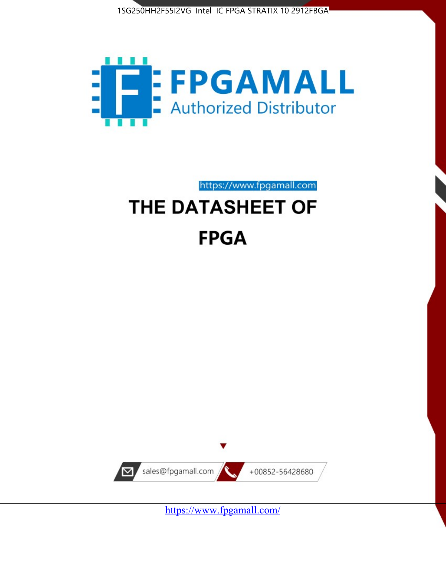



https://www.fpgamall.com

# THE DATASHEET OF **FPGA**



<https://www.fpgamall.com/>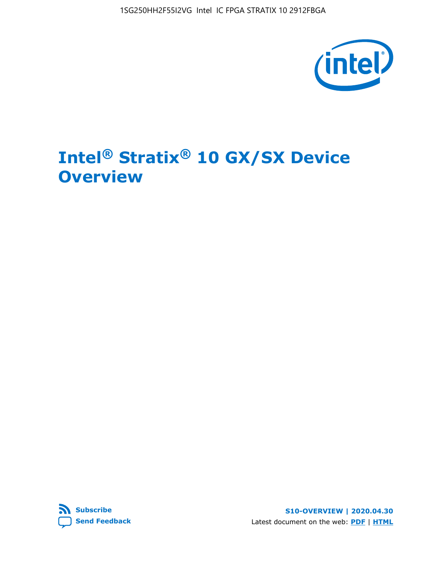1SG250HH2F55I2VG Intel IC FPGA STRATIX 10 2912FBGA



# **Intel® Stratix® 10 GX/SX Device Overview**



**S10-OVERVIEW | 2020.04.30** Latest document on the web: **[PDF](https://www.intel.com/content/dam/www/programmable/us/en/pdfs/literature/hb/stratix-10/s10-overview.pdf)** | **[HTML](https://www.intel.com/content/www/us/en/programmable/documentation/joc1442261161666.html)**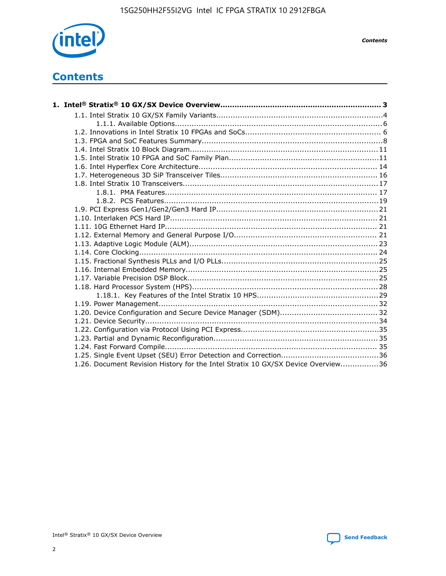

*Contents*

# **Contents**

| 1.26. Document Revision History for the Intel Stratix 10 GX/SX Device Overview36 |  |
|----------------------------------------------------------------------------------|--|

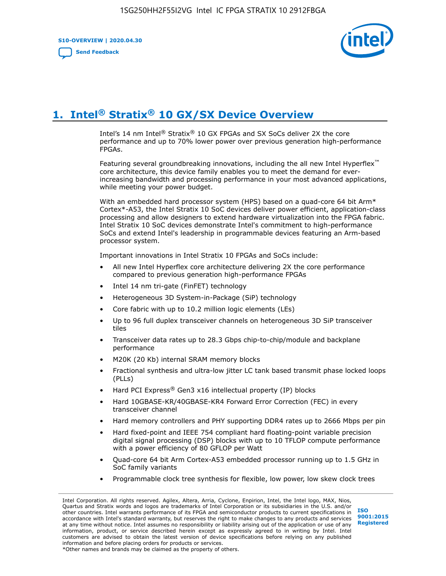**S10-OVERVIEW | 2020.04.30**

**[Send Feedback](mailto:FPGAtechdocfeedback@intel.com?subject=Feedback%20on%20Intel%20Stratix%2010%20GX/SX%20Device%20Overview%20(S10-OVERVIEW%202020.04.30)&body=We%20appreciate%20your%20feedback.%20In%20your%20comments,%20also%20specify%20the%20page%20number%20or%20paragraph.%20Thank%20you.)**



# **1. Intel® Stratix® 10 GX/SX Device Overview**

Intel's 14 nm Intel® Stratix® 10 GX FPGAs and SX SoCs deliver 2X the core performance and up to 70% lower power over previous generation high-performance FPGAs.

Featuring several groundbreaking innovations, including the all new Intel Hyperflex™ core architecture, this device family enables you to meet the demand for everincreasing bandwidth and processing performance in your most advanced applications, while meeting your power budget.

With an embedded hard processor system (HPS) based on a quad-core 64 bit Arm\* Cortex\*-A53, the Intel Stratix 10 SoC devices deliver power efficient, application-class processing and allow designers to extend hardware virtualization into the FPGA fabric. Intel Stratix 10 SoC devices demonstrate Intel's commitment to high-performance SoCs and extend Intel's leadership in programmable devices featuring an Arm-based processor system.

Important innovations in Intel Stratix 10 FPGAs and SoCs include:

- All new Intel Hyperflex core architecture delivering 2X the core performance compared to previous generation high-performance FPGAs
- Intel 14 nm tri-gate (FinFET) technology
- Heterogeneous 3D System-in-Package (SiP) technology
- Core fabric with up to 10.2 million logic elements (LEs)
- Up to 96 full duplex transceiver channels on heterogeneous 3D SiP transceiver tiles
- Transceiver data rates up to 28.3 Gbps chip-to-chip/module and backplane performance
- M20K (20 Kb) internal SRAM memory blocks
- Fractional synthesis and ultra-low jitter LC tank based transmit phase locked loops (PLLs)
- Hard PCI Express<sup>®</sup> Gen3 x16 intellectual property (IP) blocks
- Hard 10GBASE-KR/40GBASE-KR4 Forward Error Correction (FEC) in every transceiver channel
- Hard memory controllers and PHY supporting DDR4 rates up to 2666 Mbps per pin
- Hard fixed-point and IEEE 754 compliant hard floating-point variable precision digital signal processing (DSP) blocks with up to 10 TFLOP compute performance with a power efficiency of 80 GFLOP per Watt
- Quad-core 64 bit Arm Cortex-A53 embedded processor running up to 1.5 GHz in SoC family variants
- Programmable clock tree synthesis for flexible, low power, low skew clock trees

Intel Corporation. All rights reserved. Agilex, Altera, Arria, Cyclone, Enpirion, Intel, the Intel logo, MAX, Nios, Quartus and Stratix words and logos are trademarks of Intel Corporation or its subsidiaries in the U.S. and/or other countries. Intel warrants performance of its FPGA and semiconductor products to current specifications in accordance with Intel's standard warranty, but reserves the right to make changes to any products and services at any time without notice. Intel assumes no responsibility or liability arising out of the application or use of any information, product, or service described herein except as expressly agreed to in writing by Intel. Intel customers are advised to obtain the latest version of device specifications before relying on any published information and before placing orders for products or services. \*Other names and brands may be claimed as the property of others.

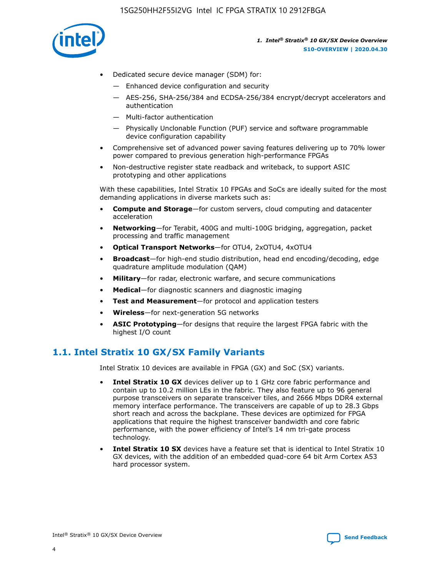

- Dedicated secure device manager (SDM) for:
	- Enhanced device configuration and security
	- AES-256, SHA-256/384 and ECDSA-256/384 encrypt/decrypt accelerators and authentication
	- Multi-factor authentication
	- Physically Unclonable Function (PUF) service and software programmable device configuration capability
- Comprehensive set of advanced power saving features delivering up to 70% lower power compared to previous generation high-performance FPGAs
- Non-destructive register state readback and writeback, to support ASIC prototyping and other applications

With these capabilities, Intel Stratix 10 FPGAs and SoCs are ideally suited for the most demanding applications in diverse markets such as:

- **Compute and Storage**—for custom servers, cloud computing and datacenter acceleration
- **Networking**—for Terabit, 400G and multi-100G bridging, aggregation, packet processing and traffic management
- **Optical Transport Networks**—for OTU4, 2xOTU4, 4xOTU4
- **Broadcast**—for high-end studio distribution, head end encoding/decoding, edge quadrature amplitude modulation (QAM)
- **Military**—for radar, electronic warfare, and secure communications
- **Medical**—for diagnostic scanners and diagnostic imaging
- **Test and Measurement**—for protocol and application testers
- **Wireless**—for next-generation 5G networks
- **ASIC Prototyping**—for designs that require the largest FPGA fabric with the highest I/O count

## **1.1. Intel Stratix 10 GX/SX Family Variants**

Intel Stratix 10 devices are available in FPGA (GX) and SoC (SX) variants.

- **Intel Stratix 10 GX** devices deliver up to 1 GHz core fabric performance and contain up to 10.2 million LEs in the fabric. They also feature up to 96 general purpose transceivers on separate transceiver tiles, and 2666 Mbps DDR4 external memory interface performance. The transceivers are capable of up to 28.3 Gbps short reach and across the backplane. These devices are optimized for FPGA applications that require the highest transceiver bandwidth and core fabric performance, with the power efficiency of Intel's 14 nm tri-gate process technology.
- **Intel Stratix 10 SX** devices have a feature set that is identical to Intel Stratix 10 GX devices, with the addition of an embedded quad-core 64 bit Arm Cortex A53 hard processor system.

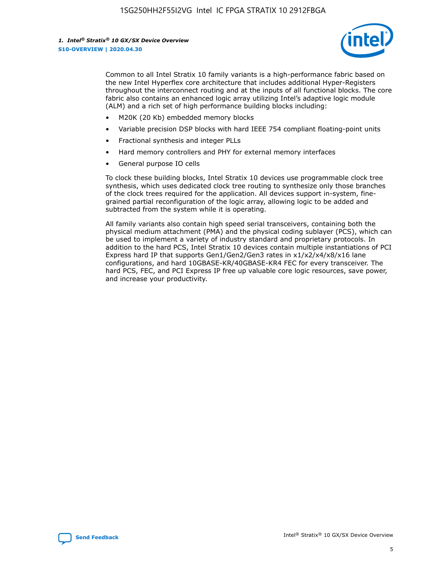

Common to all Intel Stratix 10 family variants is a high-performance fabric based on the new Intel Hyperflex core architecture that includes additional Hyper-Registers throughout the interconnect routing and at the inputs of all functional blocks. The core fabric also contains an enhanced logic array utilizing Intel's adaptive logic module (ALM) and a rich set of high performance building blocks including:

- M20K (20 Kb) embedded memory blocks
- Variable precision DSP blocks with hard IEEE 754 compliant floating-point units
- Fractional synthesis and integer PLLs
- Hard memory controllers and PHY for external memory interfaces
- General purpose IO cells

To clock these building blocks, Intel Stratix 10 devices use programmable clock tree synthesis, which uses dedicated clock tree routing to synthesize only those branches of the clock trees required for the application. All devices support in-system, finegrained partial reconfiguration of the logic array, allowing logic to be added and subtracted from the system while it is operating.

All family variants also contain high speed serial transceivers, containing both the physical medium attachment (PMA) and the physical coding sublayer (PCS), which can be used to implement a variety of industry standard and proprietary protocols. In addition to the hard PCS, Intel Stratix 10 devices contain multiple instantiations of PCI Express hard IP that supports Gen1/Gen2/Gen3 rates in x1/x2/x4/x8/x16 lane configurations, and hard 10GBASE-KR/40GBASE-KR4 FEC for every transceiver. The hard PCS, FEC, and PCI Express IP free up valuable core logic resources, save power, and increase your productivity.

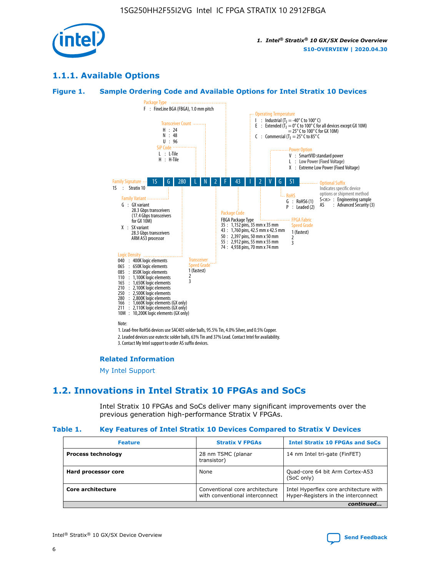

## **1.1.1. Available Options**

### **Figure 1. Sample Ordering Code and Available Options for Intel Stratix 10 Devices**



## **Related Information**

[My Intel Support](https://www.intel.com/content/www/us/en/programmable/my-intel/mal-home.html)

## **1.2. Innovations in Intel Stratix 10 FPGAs and SoCs**

Intel Stratix 10 FPGAs and SoCs deliver many significant improvements over the previous generation high-performance Stratix V FPGAs.

#### **Table 1. Key Features of Intel Stratix 10 Devices Compared to Stratix V Devices**

| <b>Feature</b>            | <b>Stratix V FPGAs</b>                                           | <b>Intel Stratix 10 FPGAs and SoCs</b>                                        |
|---------------------------|------------------------------------------------------------------|-------------------------------------------------------------------------------|
| <b>Process technology</b> | 28 nm TSMC (planar<br>transistor)                                | 14 nm Intel tri-gate (FinFET)                                                 |
| Hard processor core       | None                                                             | Quad-core 64 bit Arm Cortex-A53<br>(SoC only)                                 |
| Core architecture         | Conventional core architecture<br>with conventional interconnect | Intel Hyperflex core architecture with<br>Hyper-Registers in the interconnect |
|                           |                                                                  | continued                                                                     |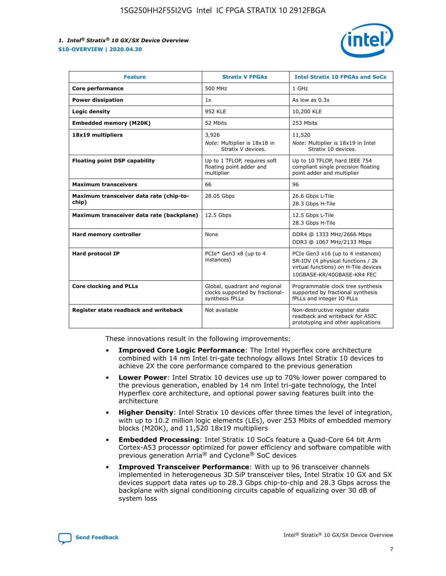

| <b>Feature</b>                                   | <b>Stratix V FPGAs</b>                                                              | <b>Intel Stratix 10 FPGAs and SoCs</b>                                                                                                       |
|--------------------------------------------------|-------------------------------------------------------------------------------------|----------------------------------------------------------------------------------------------------------------------------------------------|
| Core performance                                 | 500 MHz                                                                             | 1 GHz                                                                                                                                        |
| <b>Power dissipation</b>                         | 1x                                                                                  | As low as $0.3x$                                                                                                                             |
| Logic density                                    | <b>952 KLE</b>                                                                      | 10,200 KLE                                                                                                                                   |
| <b>Embedded memory (M20K)</b>                    | 52 Mbits                                                                            | 253 Mbits                                                                                                                                    |
| 18x19 multipliers                                | 3,926                                                                               | 11,520                                                                                                                                       |
|                                                  | Note: Multiplier is 18x18 in<br>Stratix V devices.                                  | Note: Multiplier is 18x19 in Intel<br>Stratix 10 devices.                                                                                    |
| <b>Floating point DSP capability</b>             | Up to 1 TFLOP, requires soft<br>floating point adder and<br>multiplier              | Up to 10 TFLOP, hard IEEE 754<br>compliant single precision floating<br>point adder and multiplier                                           |
| <b>Maximum transceivers</b>                      | 66                                                                                  | 96                                                                                                                                           |
| Maximum transceiver data rate (chip-to-<br>chip) | 28.05 Gbps                                                                          | 26.6 Gbps L-Tile<br>28.3 Gbps H-Tile                                                                                                         |
| Maximum transceiver data rate (backplane)        | 12.5 Gbps                                                                           | 12.5 Gbps L-Tile<br>28.3 Gbps H-Tile                                                                                                         |
| <b>Hard memory controller</b>                    | None                                                                                | DDR4 @ 1333 MHz/2666 Mbps<br>DDR3 @ 1067 MHz/2133 Mbps                                                                                       |
| <b>Hard protocol IP</b>                          | PCIe* Gen3 x8 (up to 4<br>instances)                                                | PCIe Gen3 x16 (up to 4 instances)<br>SR-IOV (4 physical functions / 2k<br>virtual functions) on H-Tile devices<br>10GBASE-KR/40GBASE-KR4 FEC |
| <b>Core clocking and PLLs</b>                    | Global, quadrant and regional<br>clocks supported by fractional-<br>synthesis fPLLs | Programmable clock tree synthesis<br>supported by fractional synthesis<br>fPLLs and integer IO PLLs                                          |
| Register state readback and writeback            | Not available                                                                       | Non-destructive register state<br>readback and writeback for ASIC<br>prototyping and other applications                                      |

These innovations result in the following improvements:

- **Improved Core Logic Performance**: The Intel Hyperflex core architecture combined with 14 nm Intel tri-gate technology allows Intel Stratix 10 devices to achieve 2X the core performance compared to the previous generation
- **Lower Power**: Intel Stratix 10 devices use up to 70% lower power compared to the previous generation, enabled by 14 nm Intel tri-gate technology, the Intel Hyperflex core architecture, and optional power saving features built into the architecture
- **Higher Density**: Intel Stratix 10 devices offer three times the level of integration, with up to 10.2 million logic elements (LEs), over 253 Mbits of embedded memory blocks (M20K), and 11,520 18x19 multipliers
- **Embedded Processing**: Intel Stratix 10 SoCs feature a Quad-Core 64 bit Arm Cortex-A53 processor optimized for power efficiency and software compatible with previous generation Arria® and Cyclone® SoC devices
- **Improved Transceiver Performance**: With up to 96 transceiver channels implemented in heterogeneous 3D SiP transceiver tiles, Intel Stratix 10 GX and SX devices support data rates up to 28.3 Gbps chip-to-chip and 28.3 Gbps across the backplane with signal conditioning circuits capable of equalizing over 30 dB of system loss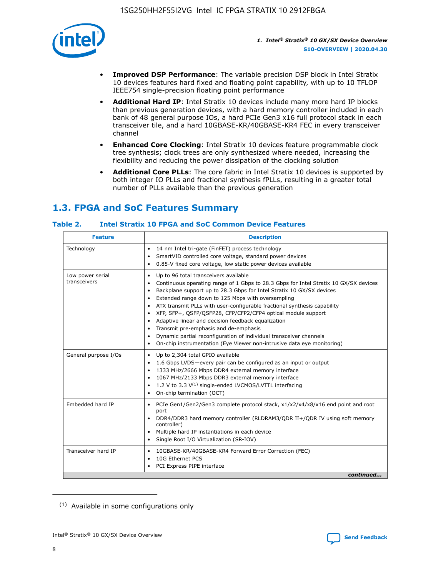

- **Improved DSP Performance**: The variable precision DSP block in Intel Stratix 10 devices features hard fixed and floating point capability, with up to 10 TFLOP IEEE754 single-precision floating point performance
- **Additional Hard IP**: Intel Stratix 10 devices include many more hard IP blocks than previous generation devices, with a hard memory controller included in each bank of 48 general purpose IOs, a hard PCIe Gen3 x16 full protocol stack in each transceiver tile, and a hard 10GBASE-KR/40GBASE-KR4 FEC in every transceiver channel
- **Enhanced Core Clocking**: Intel Stratix 10 devices feature programmable clock tree synthesis; clock trees are only synthesized where needed, increasing the flexibility and reducing the power dissipation of the clocking solution
- **Additional Core PLLs**: The core fabric in Intel Stratix 10 devices is supported by both integer IO PLLs and fractional synthesis fPLLs, resulting in a greater total number of PLLs available than the previous generation

## **1.3. FPGA and SoC Features Summary**

## **Table 2. Intel Stratix 10 FPGA and SoC Common Device Features**

| <b>Feature</b>                   | <b>Description</b>                                                                                                                                                                                                                                                                                                                                                                                                                                                                                                                                                                                                                                                                                                                                   |
|----------------------------------|------------------------------------------------------------------------------------------------------------------------------------------------------------------------------------------------------------------------------------------------------------------------------------------------------------------------------------------------------------------------------------------------------------------------------------------------------------------------------------------------------------------------------------------------------------------------------------------------------------------------------------------------------------------------------------------------------------------------------------------------------|
| Technology                       | 14 nm Intel tri-gate (FinFET) process technology<br>٠<br>SmartVID controlled core voltage, standard power devices<br>0.85-V fixed core voltage, low static power devices available                                                                                                                                                                                                                                                                                                                                                                                                                                                                                                                                                                   |
| Low power serial<br>transceivers | Up to 96 total transceivers available<br>$\bullet$<br>Continuous operating range of 1 Gbps to 28.3 Gbps for Intel Stratix 10 GX/SX devices<br>$\bullet$<br>Backplane support up to 28.3 Gbps for Intel Stratix 10 GX/SX devices<br>$\bullet$<br>Extended range down to 125 Mbps with oversampling<br>$\bullet$<br>ATX transmit PLLs with user-configurable fractional synthesis capability<br>$\bullet$<br>• XFP, SFP+, OSFP/OSFP28, CFP/CFP2/CFP4 optical module support<br>• Adaptive linear and decision feedback equalization<br>Transmit pre-emphasis and de-emphasis<br>Dynamic partial reconfiguration of individual transceiver channels<br>$\bullet$<br>On-chip instrumentation (Eye Viewer non-intrusive data eye monitoring)<br>$\bullet$ |
| General purpose I/Os             | Up to 2,304 total GPIO available<br>$\bullet$<br>1.6 Gbps LVDS-every pair can be configured as an input or output<br>$\bullet$<br>1333 MHz/2666 Mbps DDR4 external memory interface<br>1067 MHz/2133 Mbps DDR3 external memory interface<br>1.2 V to 3.3 $V^{(1)}$ single-ended LVCMOS/LVTTL interfacing<br>$\bullet$<br>On-chip termination (OCT)<br>$\bullet$                                                                                                                                                                                                                                                                                                                                                                                      |
| Embedded hard IP                 | • PCIe Gen1/Gen2/Gen3 complete protocol stack, $x1/x2/x4/x8/x16$ end point and root<br>port<br>DDR4/DDR3 hard memory controller (RLDRAM3/QDR II+/QDR IV using soft memory<br>controller)<br>Multiple hard IP instantiations in each device<br>$\bullet$<br>• Single Root I/O Virtualization (SR-IOV)                                                                                                                                                                                                                                                                                                                                                                                                                                                 |
| Transceiver hard IP              | 10GBASE-KR/40GBASE-KR4 Forward Error Correction (FEC)<br>$\bullet$<br>10G Ethernet PCS<br>$\bullet$<br>• PCI Express PIPE interface<br>continued                                                                                                                                                                                                                                                                                                                                                                                                                                                                                                                                                                                                     |

<sup>(1)</sup> Available in some configurations only

8

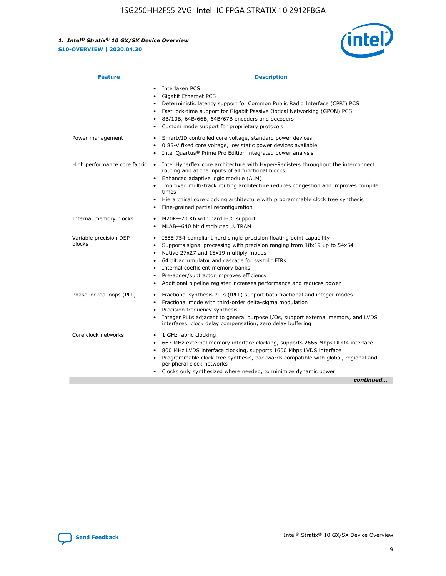

| <b>Feature</b>                   | <b>Description</b>                                                                                                                                                                                                                                                                                                                                                                                                                                                    |
|----------------------------------|-----------------------------------------------------------------------------------------------------------------------------------------------------------------------------------------------------------------------------------------------------------------------------------------------------------------------------------------------------------------------------------------------------------------------------------------------------------------------|
|                                  | Interlaken PCS<br>$\bullet$<br>Gigabit Ethernet PCS<br>$\bullet$<br>Deterministic latency support for Common Public Radio Interface (CPRI) PCS<br>$\bullet$<br>Fast lock-time support for Gigabit Passive Optical Networking (GPON) PCS<br>$\bullet$<br>8B/10B, 64B/66B, 64B/67B encoders and decoders<br>Custom mode support for proprietary protocols                                                                                                               |
| Power management                 | SmartVID controlled core voltage, standard power devices<br>$\bullet$<br>0.85-V fixed core voltage, low static power devices available<br>$\bullet$<br>Intel Quartus <sup>®</sup> Prime Pro Edition integrated power analysis<br>$\bullet$                                                                                                                                                                                                                            |
| High performance core fabric     | Intel Hyperflex core architecture with Hyper-Registers throughout the interconnect<br>routing and at the inputs of all functional blocks<br>Enhanced adaptive logic module (ALM)<br>$\bullet$<br>Improved multi-track routing architecture reduces congestion and improves compile<br>times<br>Hierarchical core clocking architecture with programmable clock tree synthesis<br>$\bullet$<br>Fine-grained partial reconfiguration                                    |
| Internal memory blocks           | M20K-20 Kb with hard ECC support<br>$\bullet$<br>MLAB-640 bit distributed LUTRAM<br>$\bullet$                                                                                                                                                                                                                                                                                                                                                                         |
| Variable precision DSP<br>blocks | IEEE 754-compliant hard single-precision floating point capability<br>$\bullet$<br>Supports signal processing with precision ranging from 18x19 up to 54x54<br>$\bullet$<br>Native 27x27 and 18x19 multiply modes<br>$\bullet$<br>64 bit accumulator and cascade for systolic FIRs<br>Internal coefficient memory banks<br>Pre-adder/subtractor improves efficiency<br>$\bullet$<br>Additional pipeline register increases performance and reduces power<br>$\bullet$ |
| Phase locked loops (PLL)         | Fractional synthesis PLLs (fPLL) support both fractional and integer modes<br>$\bullet$<br>Fractional mode with third-order delta-sigma modulation<br>Precision frequency synthesis<br>$\bullet$<br>Integer PLLs adjacent to general purpose I/Os, support external memory, and LVDS<br>$\bullet$<br>interfaces, clock delay compensation, zero delay buffering                                                                                                       |
| Core clock networks              | 1 GHz fabric clocking<br>$\bullet$<br>667 MHz external memory interface clocking, supports 2666 Mbps DDR4 interface<br>٠<br>800 MHz LVDS interface clocking, supports 1600 Mbps LVDS interface<br>$\bullet$<br>Programmable clock tree synthesis, backwards compatible with global, regional and<br>$\bullet$<br>peripheral clock networks<br>Clocks only synthesized where needed, to minimize dynamic power<br>continued                                            |

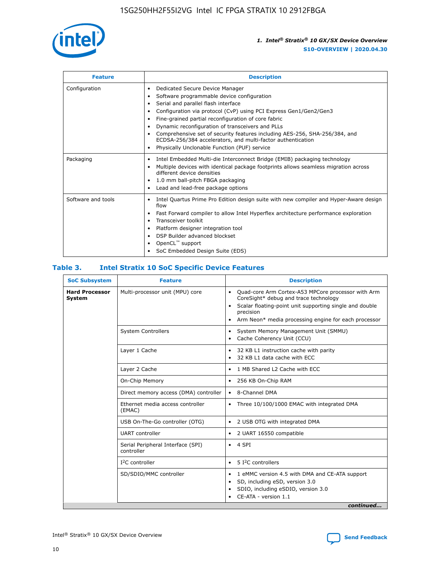

| <b>Feature</b>     | <b>Description</b>                                                                                                                                                                                                                                                                                                                                                                                                                                                                                                    |
|--------------------|-----------------------------------------------------------------------------------------------------------------------------------------------------------------------------------------------------------------------------------------------------------------------------------------------------------------------------------------------------------------------------------------------------------------------------------------------------------------------------------------------------------------------|
| Configuration      | Dedicated Secure Device Manager<br>٠<br>Software programmable device configuration<br>٠<br>Serial and parallel flash interface<br>٠<br>Configuration via protocol (CvP) using PCI Express Gen1/Gen2/Gen3<br>Fine-grained partial reconfiguration of core fabric<br>Dynamic reconfiguration of transceivers and PLLs<br>٠<br>Comprehensive set of security features including AES-256, SHA-256/384, and<br>ECDSA-256/384 accelerators, and multi-factor authentication<br>Physically Unclonable Function (PUF) service |
| Packaging          | Intel Embedded Multi-die Interconnect Bridge (EMIB) packaging technology<br>٠<br>Multiple devices with identical package footprints allows seamless migration across<br>٠<br>different device densities<br>1.0 mm ball-pitch FBGA packaging<br>٠<br>Lead and lead-free package options                                                                                                                                                                                                                                |
| Software and tools | Intel Quartus Prime Pro Edition design suite with new compiler and Hyper-Aware design<br>flow<br>Fast Forward compiler to allow Intel Hyperflex architecture performance exploration<br>٠<br>Transceiver toolkit<br>Platform designer integration tool<br>DSP Builder advanced blockset<br>OpenCL <sup>™</sup> support<br>SoC Embedded Design Suite (EDS)                                                                                                                                                             |

## **Table 3. Intel Stratix 10 SoC Specific Device Features**

| <b>SoC Subsystem</b>            | <b>Feature</b>                                  | <b>Description</b>                                                                                                                                                                                                                                         |
|---------------------------------|-------------------------------------------------|------------------------------------------------------------------------------------------------------------------------------------------------------------------------------------------------------------------------------------------------------------|
| <b>Hard Processor</b><br>System | Multi-processor unit (MPU) core                 | Quad-core Arm Cortex-A53 MPCore processor with Arm<br>$\bullet$<br>CoreSight* debug and trace technology<br>Scalar floating-point unit supporting single and double<br>٠<br>precision<br>Arm Neon* media processing engine for each processor<br>$\bullet$ |
|                                 | <b>System Controllers</b>                       | System Memory Management Unit (SMMU)<br>٠<br>Cache Coherency Unit (CCU)<br>٠                                                                                                                                                                               |
|                                 | Layer 1 Cache                                   | 32 KB L1 instruction cache with parity<br>$\bullet$<br>32 KB L1 data cache with ECC<br>$\bullet$                                                                                                                                                           |
|                                 | Layer 2 Cache                                   | 1 MB Shared L2 Cache with ECC<br>$\bullet$                                                                                                                                                                                                                 |
|                                 | On-Chip Memory                                  | 256 KB On-Chip RAM<br>$\bullet$                                                                                                                                                                                                                            |
|                                 | Direct memory access (DMA) controller           | • 8-Channel DMA                                                                                                                                                                                                                                            |
|                                 | Ethernet media access controller<br>(EMAC)      | Three 10/100/1000 EMAC with integrated DMA<br>$\bullet$                                                                                                                                                                                                    |
|                                 | USB On-The-Go controller (OTG)                  | 2 USB OTG with integrated DMA<br>$\bullet$                                                                                                                                                                                                                 |
|                                 | <b>UART</b> controller                          | 2 UART 16550 compatible<br>$\bullet$                                                                                                                                                                                                                       |
|                                 | Serial Peripheral Interface (SPI)<br>controller | $\bullet$ 4 SPI                                                                                                                                                                                                                                            |
|                                 | $I2C$ controller                                | 5 <sup>2</sup> C controllers                                                                                                                                                                                                                               |
|                                 | SD/SDIO/MMC controller                          | 1 eMMC version 4.5 with DMA and CE-ATA support<br>$\bullet$<br>SD, including eSD, version 3.0<br>٠<br>SDIO, including eSDIO, version 3.0<br>$\bullet$<br>CE-ATA - version 1.1<br>continued                                                                 |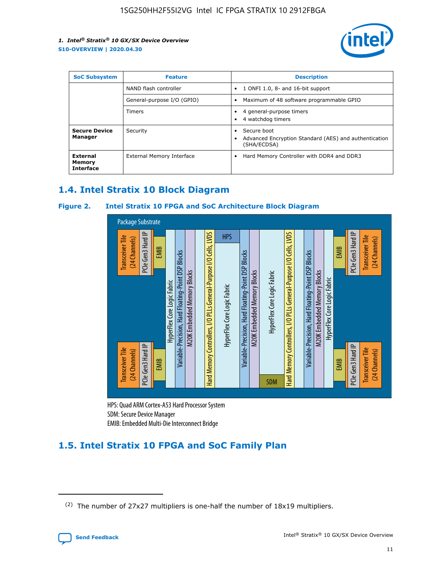

| <b>SoC Subsystem</b>                   | <b>Feature</b>             | <b>Description</b>                                                                                    |  |  |
|----------------------------------------|----------------------------|-------------------------------------------------------------------------------------------------------|--|--|
|                                        | NAND flash controller      | 1 ONFI 1.0, 8- and 16-bit support<br>$\bullet$                                                        |  |  |
|                                        | General-purpose I/O (GPIO) | Maximum of 48 software programmable GPIO<br>$\bullet$                                                 |  |  |
|                                        | Timers                     | 4 general-purpose timers<br>4 watchdog timers<br>٠                                                    |  |  |
| <b>Secure Device</b><br>Manager        | Security                   | Secure boot<br>$\bullet$<br>Advanced Encryption Standard (AES) and authentication<br>٠<br>(SHA/ECDSA) |  |  |
| External<br>Memory<br><b>Interface</b> | External Memory Interface  | Hard Memory Controller with DDR4 and DDR3<br>$\bullet$                                                |  |  |

## **1.4. Intel Stratix 10 Block Diagram**

## **Figure 2. Intel Stratix 10 FPGA and SoC Architecture Block Diagram**



HPS: Quad ARM Cortex-A53 Hard Processor System SDM: Secure Device Manager

## **1.5. Intel Stratix 10 FPGA and SoC Family Plan**

<sup>(2)</sup> The number of 27x27 multipliers is one-half the number of 18x19 multipliers.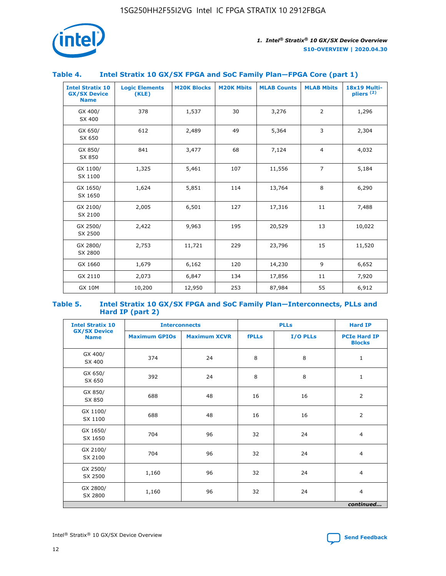

## **Table 4. Intel Stratix 10 GX/SX FPGA and SoC Family Plan—FPGA Core (part 1)**

| <b>Intel Stratix 10</b><br><b>GX/SX Device</b><br><b>Name</b> | <b>Logic Elements</b><br>(KLE) | <b>M20K Blocks</b> | <b>M20K Mbits</b> | <b>MLAB Counts</b> | <b>MLAB Mbits</b> | 18x19 Multi-<br>pliers <sup>(2)</sup> |
|---------------------------------------------------------------|--------------------------------|--------------------|-------------------|--------------------|-------------------|---------------------------------------|
| GX 400/<br>SX 400                                             | 378                            | 1,537              | 30                | 3,276              | 2                 | 1,296                                 |
| GX 650/<br>SX 650                                             | 612                            | 2,489              | 49                | 5,364              | 3                 | 2,304                                 |
| GX 850/<br>SX 850                                             | 841                            | 3,477              | 68                | 7,124              | $\overline{4}$    | 4,032                                 |
| GX 1100/<br>SX 1100                                           | 1,325                          | 5,461              | 107               | 11,556             | $\overline{7}$    | 5,184                                 |
| GX 1650/<br>SX 1650                                           | 1,624                          | 5,851              | 114               | 13,764             | 8                 | 6,290                                 |
| GX 2100/<br>SX 2100                                           | 2,005                          | 6,501              | 127               | 17,316             | 11                | 7,488                                 |
| GX 2500/<br>SX 2500                                           | 2,422                          | 9,963              | 195               | 20,529             | 13                | 10,022                                |
| GX 2800/<br>SX 2800                                           | 2,753                          | 11,721             | 229               | 23,796             | 15                | 11,520                                |
| GX 1660                                                       | 1,679                          | 6,162              | 120               | 14,230             | 9                 | 6,652                                 |
| GX 2110                                                       | 2,073                          | 6,847              | 134               | 17,856             | 11                | 7,920                                 |
| <b>GX 10M</b>                                                 | 10,200                         | 12,950             | 253               | 87,984             | 55                | 6,912                                 |

#### **Table 5. Intel Stratix 10 GX/SX FPGA and SoC Family Plan—Interconnects, PLLs and Hard IP (part 2)**

| <b>Intel Stratix 10</b>            |                      | <b>PLLs</b><br><b>Interconnects</b> |              |          | <b>Hard IP</b>                       |  |
|------------------------------------|----------------------|-------------------------------------|--------------|----------|--------------------------------------|--|
| <b>GX/SX Device</b><br><b>Name</b> | <b>Maximum GPIOs</b> | <b>Maximum XCVR</b>                 | <b>fPLLs</b> | I/O PLLs | <b>PCIe Hard IP</b><br><b>Blocks</b> |  |
| GX 400/<br>SX 400                  | 374                  | 24                                  | 8            | 8        | $\mathbf{1}$                         |  |
| GX 650/<br>SX 650                  | 392                  | 24                                  | 8            | 8        | $\mathbf{1}$                         |  |
| GX 850/<br>SX 850                  | 688                  | 48                                  | 16           | 16       | 2                                    |  |
| GX 1100/<br>SX 1100                | 688                  | 48                                  | 16           | 16       | 2                                    |  |
| GX 1650/<br>SX 1650                | 704                  | 96                                  | 32           | 24       | $\overline{4}$                       |  |
| GX 2100/<br>SX 2100                | 704                  | 96                                  | 32           | 24       | $\overline{4}$                       |  |
| GX 2500/<br>SX 2500                | 1,160                | 96                                  | 32           | 24       | $\overline{4}$                       |  |
| GX 2800/<br>SX 2800                | 1,160                | 96                                  | 32           | 24       | $\overline{4}$                       |  |
| continued                          |                      |                                     |              |          |                                      |  |

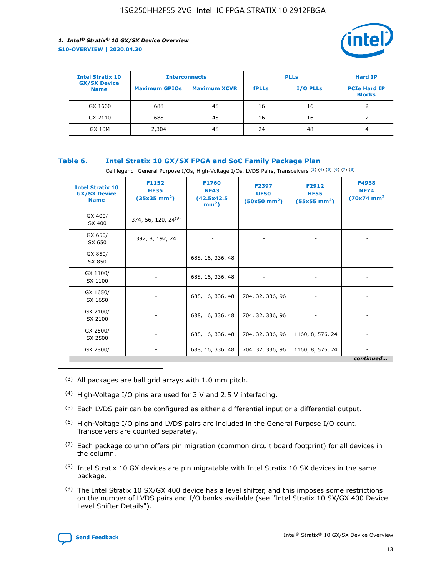

| <b>Intel Stratix 10</b>            | <b>Interconnects</b> |                     | <b>PLLs</b>  |          | <b>Hard IP</b>                       |
|------------------------------------|----------------------|---------------------|--------------|----------|--------------------------------------|
| <b>GX/SX Device</b><br><b>Name</b> | <b>Maximum GPIOs</b> | <b>Maximum XCVR</b> | <b>fPLLs</b> | I/O PLLs | <b>PCIe Hard IP</b><br><b>Blocks</b> |
| GX 1660                            | 688                  | 48                  | 16           | 16       |                                      |
| GX 2110                            | 688                  | 48                  | 16           | 16       |                                      |
| <b>GX 10M</b>                      | 2,304                | 48                  | 24           | 48       | 4                                    |

## **Table 6. Intel Stratix 10 GX/SX FPGA and SoC Family Package Plan**

Cell legend: General Purpose I/Os, High-Voltage I/Os, LVDS Pairs, Transceivers (3) (4) (5) (6) (7) (8)

| <b>Intel Stratix 10</b><br><b>GX/SX Device</b><br><b>Name</b> | F1152<br><b>HF35</b><br>$(35x35 \text{ mm}^2)$ | <b>F1760</b><br><b>NF43</b><br>(42.5x42.5<br>$mm2$ ) | F2397<br><b>UF50</b><br>$(50x50 \text{ mm}^2)$ | F2912<br><b>HF55</b><br>$(55x55 \text{ mm}^2)$ | F4938<br><b>NF74</b><br>$(70x74)$ mm <sup>2</sup> |
|---------------------------------------------------------------|------------------------------------------------|------------------------------------------------------|------------------------------------------------|------------------------------------------------|---------------------------------------------------|
| GX 400/<br>SX 400                                             | 374, 56, 120, 24 <sup>(9)</sup>                | $\overline{\phantom{a}}$                             | $\overline{\phantom{a}}$                       |                                                |                                                   |
| GX 650/<br>SX 650                                             | 392, 8, 192, 24                                | ٠                                                    | $\overline{\phantom{a}}$                       |                                                |                                                   |
| GX 850/<br>SX 850                                             |                                                | 688, 16, 336, 48                                     |                                                |                                                |                                                   |
| GX 1100/<br>SX 1100                                           |                                                | 688, 16, 336, 48                                     |                                                |                                                |                                                   |
| GX 1650/<br>SX 1650                                           |                                                | 688, 16, 336, 48                                     | 704, 32, 336, 96                               |                                                |                                                   |
| GX 2100/<br>SX 2100                                           |                                                | 688, 16, 336, 48                                     | 704, 32, 336, 96                               | -                                              | ۰                                                 |
| GX 2500/<br>SX 2500                                           |                                                | 688, 16, 336, 48                                     | 704, 32, 336, 96                               | 1160, 8, 576, 24                               |                                                   |
| GX 2800/                                                      | $\overline{\phantom{a}}$                       | 688, 16, 336, 48                                     | 704, 32, 336, 96                               | 1160, 8, 576, 24                               | ٠<br>continued                                    |

- (3) All packages are ball grid arrays with 1.0 mm pitch.
- (4) High-Voltage I/O pins are used for 3 V and 2.5 V interfacing.
- $(5)$  Each LVDS pair can be configured as either a differential input or a differential output.
- (6) High-Voltage I/O pins and LVDS pairs are included in the General Purpose I/O count. Transceivers are counted separately.
- $(7)$  Each package column offers pin migration (common circuit board footprint) for all devices in the column.
- $(8)$  Intel Stratix 10 GX devices are pin migratable with Intel Stratix 10 SX devices in the same package.
- $(9)$  The Intel Stratix 10 SX/GX 400 device has a level shifter, and this imposes some restrictions on the number of LVDS pairs and I/O banks available (see "Intel Stratix 10 SX/GX 400 Device Level Shifter Details").

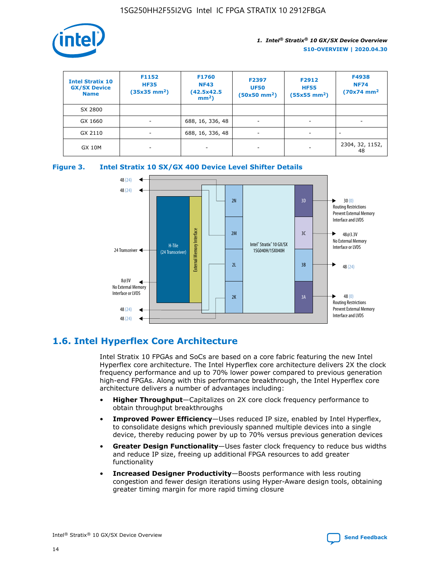

| <b>Intel Stratix 10</b><br><b>GX/SX Device</b><br><b>Name</b> | F1152<br><b>HF35</b><br>$(35x35)$ mm <sup>2</sup> ) | F1760<br><b>NF43</b><br>(42.5x42.5<br>$mm2$ ) | F2397<br><b>UF50</b><br>$(50x50 \text{ mm}^2)$ | F2912<br><b>HF55</b><br>$(55x55$ mm <sup>2</sup> ) | F4938<br><b>NF74</b><br>$(70x74)$ mm <sup>2</sup> |
|---------------------------------------------------------------|-----------------------------------------------------|-----------------------------------------------|------------------------------------------------|----------------------------------------------------|---------------------------------------------------|
| SX 2800                                                       |                                                     |                                               |                                                |                                                    |                                                   |
| GX 1660                                                       | -                                                   | 688, 16, 336, 48                              | $\overline{\phantom{a}}$                       |                                                    |                                                   |
| GX 2110                                                       |                                                     | 688, 16, 336, 48                              | $\overline{\phantom{a}}$                       |                                                    |                                                   |
| <b>GX 10M</b>                                                 | ۰                                                   |                                               |                                                |                                                    | 2304, 32, 1152,<br>48                             |





## **1.6. Intel Hyperflex Core Architecture**

Intel Stratix 10 FPGAs and SoCs are based on a core fabric featuring the new Intel Hyperflex core architecture. The Intel Hyperflex core architecture delivers 2X the clock frequency performance and up to 70% lower power compared to previous generation high-end FPGAs. Along with this performance breakthrough, the Intel Hyperflex core architecture delivers a number of advantages including:

- **Higher Throughput**—Capitalizes on 2X core clock frequency performance to obtain throughput breakthroughs
- **Improved Power Efficiency**—Uses reduced IP size, enabled by Intel Hyperflex, to consolidate designs which previously spanned multiple devices into a single device, thereby reducing power by up to 70% versus previous generation devices
- **Greater Design Functionality**—Uses faster clock frequency to reduce bus widths and reduce IP size, freeing up additional FPGA resources to add greater functionality
- **Increased Designer Productivity**—Boosts performance with less routing congestion and fewer design iterations using Hyper-Aware design tools, obtaining greater timing margin for more rapid timing closure

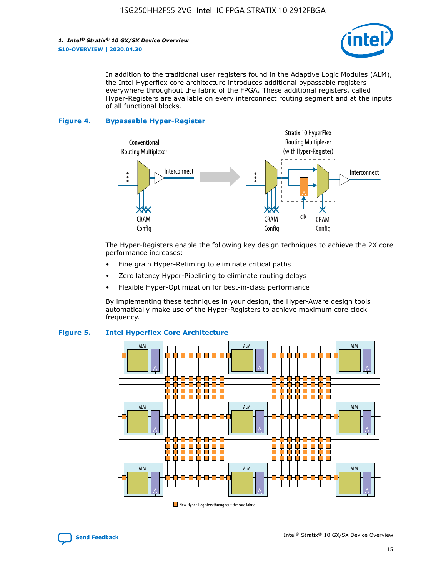

In addition to the traditional user registers found in the Adaptive Logic Modules (ALM), the Intel Hyperflex core architecture introduces additional bypassable registers everywhere throughout the fabric of the FPGA. These additional registers, called Hyper-Registers are available on every interconnect routing segment and at the inputs of all functional blocks.

#### **Figure 4. Bypassable Hyper-Register**



The Hyper-Registers enable the following key design techniques to achieve the 2X core performance increases:

- Fine grain Hyper-Retiming to eliminate critical paths
- Zero latency Hyper-Pipelining to eliminate routing delays
- Flexible Hyper-Optimization for best-in-class performance

By implementing these techniques in your design, the Hyper-Aware design tools automatically make use of the Hyper-Registers to achieve maximum core clock frequency.



## **Figure 5. Intel Hyperflex Core Architecture**

New Hyper-Registers throughout the core fabric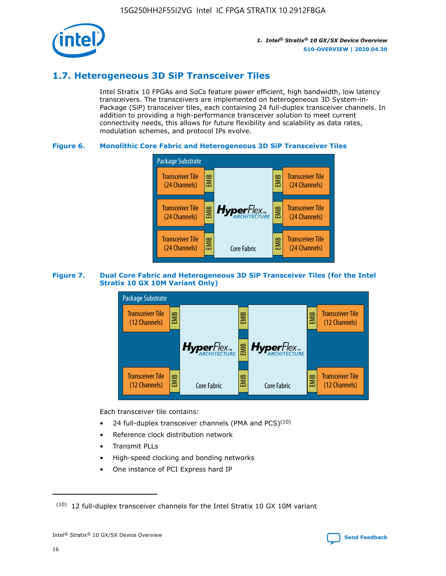

## **1.7. Heterogeneous 3D SiP Transceiver Tiles**

Intel Stratix 10 FPGAs and SoCs feature power efficient, high bandwidth, low latency transceivers. The transceivers are implemented on heterogeneous 3D System-in-Package (SiP) transceiver tiles, each containing 24 full-duplex transceiver channels. In addition to providing a high-performance transceiver solution to meet current connectivity needs, this allows for future flexibility and scalability as data rates, modulation schemes, and protocol IPs evolve.

## **Figure 6. Monolithic Core Fabric and Heterogeneous 3D SiP Transceiver Tiles**



## **Figure 7. Dual Core Fabric and Heterogeneous 3D SiP Transceiver Tiles (for the Intel Stratix 10 GX 10M Variant Only)**



Each transceiver tile contains:

- 24 full-duplex transceiver channels (PMA and PCS) $(10)$
- Reference clock distribution network
- Transmit PLLs
- High-speed clocking and bonding networks
- One instance of PCI Express hard IP

16

 $(10)$  12 full-duplex transceiver channels for the Intel Stratix 10 GX 10M variant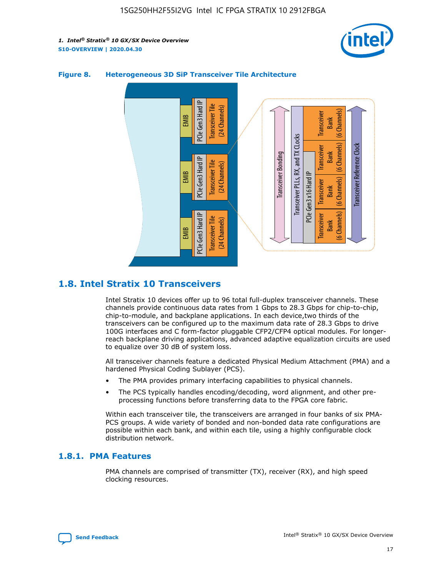



## **Figure 8. Heterogeneous 3D SiP Transceiver Tile Architecture**

## **1.8. Intel Stratix 10 Transceivers**

Intel Stratix 10 devices offer up to 96 total full-duplex transceiver channels. These channels provide continuous data rates from 1 Gbps to 28.3 Gbps for chip-to-chip, chip-to-module, and backplane applications. In each device,two thirds of the transceivers can be configured up to the maximum data rate of 28.3 Gbps to drive 100G interfaces and C form-factor pluggable CFP2/CFP4 optical modules. For longerreach backplane driving applications, advanced adaptive equalization circuits are used to equalize over 30 dB of system loss.

All transceiver channels feature a dedicated Physical Medium Attachment (PMA) and a hardened Physical Coding Sublayer (PCS).

- The PMA provides primary interfacing capabilities to physical channels.
- The PCS typically handles encoding/decoding, word alignment, and other preprocessing functions before transferring data to the FPGA core fabric.

Within each transceiver tile, the transceivers are arranged in four banks of six PMA-PCS groups. A wide variety of bonded and non-bonded data rate configurations are possible within each bank, and within each tile, using a highly configurable clock distribution network.

## **1.8.1. PMA Features**

PMA channels are comprised of transmitter (TX), receiver (RX), and high speed clocking resources.

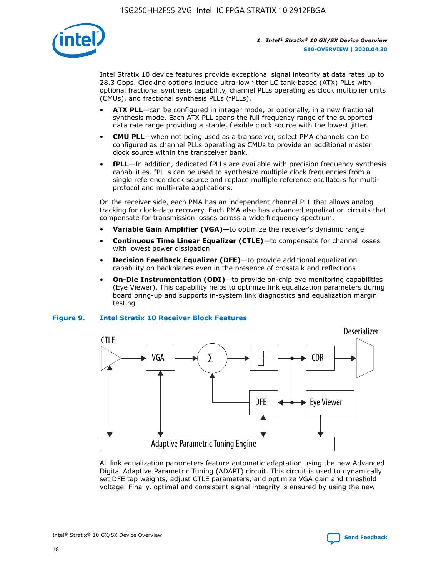

Intel Stratix 10 device features provide exceptional signal integrity at data rates up to 28.3 Gbps. Clocking options include ultra-low jitter LC tank-based (ATX) PLLs with optional fractional synthesis capability, channel PLLs operating as clock multiplier units (CMUs), and fractional synthesis PLLs (fPLLs).

- **ATX PLL**—can be configured in integer mode, or optionally, in a new fractional synthesis mode. Each ATX PLL spans the full frequency range of the supported data rate range providing a stable, flexible clock source with the lowest jitter.
- **CMU PLL**—when not being used as a transceiver, select PMA channels can be configured as channel PLLs operating as CMUs to provide an additional master clock source within the transceiver bank.
- **fPLL**—In addition, dedicated fPLLs are available with precision frequency synthesis capabilities. fPLLs can be used to synthesize multiple clock frequencies from a single reference clock source and replace multiple reference oscillators for multiprotocol and multi-rate applications.

On the receiver side, each PMA has an independent channel PLL that allows analog tracking for clock-data recovery. Each PMA also has advanced equalization circuits that compensate for transmission losses across a wide frequency spectrum.

- **Variable Gain Amplifier (VGA)**—to optimize the receiver's dynamic range
- **Continuous Time Linear Equalizer (CTLE)**—to compensate for channel losses with lowest power dissipation
- **Decision Feedback Equalizer (DFE)**—to provide additional equalization capability on backplanes even in the presence of crosstalk and reflections
- **On-Die Instrumentation (ODI)**—to provide on-chip eye monitoring capabilities (Eye Viewer). This capability helps to optimize link equalization parameters during board bring-up and supports in-system link diagnostics and equalization margin testing

#### **Figure 9. Intel Stratix 10 Receiver Block Features**



All link equalization parameters feature automatic adaptation using the new Advanced Digital Adaptive Parametric Tuning (ADAPT) circuit. This circuit is used to dynamically set DFE tap weights, adjust CTLE parameters, and optimize VGA gain and threshold voltage. Finally, optimal and consistent signal integrity is ensured by using the new

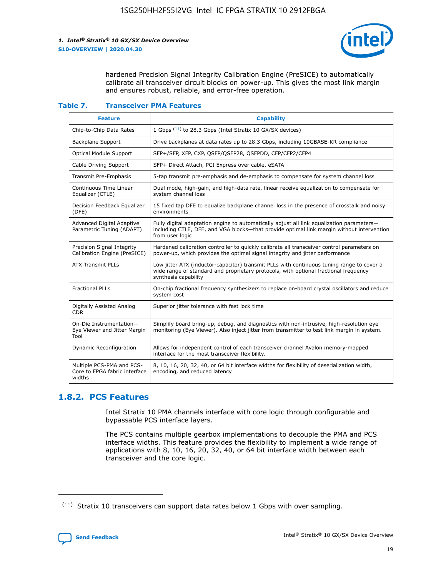

hardened Precision Signal Integrity Calibration Engine (PreSICE) to automatically calibrate all transceiver circuit blocks on power-up. This gives the most link margin and ensures robust, reliable, and error-free operation.

#### **Table 7. Transceiver PMA Features**

| <b>Feature</b>                                                       | <b>Capability</b>                                                                                                                                                                                         |
|----------------------------------------------------------------------|-----------------------------------------------------------------------------------------------------------------------------------------------------------------------------------------------------------|
| Chip-to-Chip Data Rates                                              | 1 Gbps (11) to 28.3 Gbps (Intel Stratix 10 GX/SX devices)                                                                                                                                                 |
| <b>Backplane Support</b>                                             | Drive backplanes at data rates up to 28.3 Gbps, including 10GBASE-KR compliance                                                                                                                           |
| Optical Module Support                                               | SFP+/SFP, XFP, CXP, QSFP/QSFP28, QSFPDD, CFP/CFP2/CFP4                                                                                                                                                    |
| Cable Driving Support                                                | SFP+ Direct Attach, PCI Express over cable, eSATA                                                                                                                                                         |
| <b>Transmit Pre-Emphasis</b>                                         | 5-tap transmit pre-emphasis and de-emphasis to compensate for system channel loss                                                                                                                         |
| Continuous Time Linear<br>Equalizer (CTLE)                           | Dual mode, high-gain, and high-data rate, linear receive equalization to compensate for<br>system channel loss                                                                                            |
| Decision Feedback Equalizer<br>(DFE)                                 | 15 fixed tap DFE to equalize backplane channel loss in the presence of crosstalk and noisy<br>environments                                                                                                |
| Advanced Digital Adaptive<br>Parametric Tuning (ADAPT)               | Fully digital adaptation engine to automatically adjust all link equalization parameters-<br>including CTLE, DFE, and VGA blocks-that provide optimal link margin without intervention<br>from user logic |
| Precision Signal Integrity<br>Calibration Engine (PreSICE)           | Hardened calibration controller to quickly calibrate all transceiver control parameters on<br>power-up, which provides the optimal signal integrity and jitter performance                                |
| <b>ATX Transmit PLLs</b>                                             | Low jitter ATX (inductor-capacitor) transmit PLLs with continuous tuning range to cover a<br>wide range of standard and proprietary protocols, with optional fractional frequency<br>synthesis capability |
| <b>Fractional PLLs</b>                                               | On-chip fractional frequency synthesizers to replace on-board crystal oscillators and reduce<br>system cost                                                                                               |
| Digitally Assisted Analog<br>CDR.                                    | Superior jitter tolerance with fast lock time                                                                                                                                                             |
| On-Die Instrumentation-<br>Eye Viewer and Jitter Margin<br>Tool      | Simplify board bring-up, debug, and diagnostics with non-intrusive, high-resolution eye<br>monitoring (Eye Viewer). Also inject jitter from transmitter to test link margin in system.                    |
| Dynamic Reconfiguration                                              | Allows for independent control of each transceiver channel Avalon memory-mapped<br>interface for the most transceiver flexibility.                                                                        |
| Multiple PCS-PMA and PCS-<br>Core to FPGA fabric interface<br>widths | 8, 10, 16, 20, 32, 40, or 64 bit interface widths for flexibility of deserialization width,<br>encoding, and reduced latency                                                                              |

## **1.8.2. PCS Features**

Intel Stratix 10 PMA channels interface with core logic through configurable and bypassable PCS interface layers.

The PCS contains multiple gearbox implementations to decouple the PMA and PCS interface widths. This feature provides the flexibility to implement a wide range of applications with 8, 10, 16, 20, 32, 40, or 64 bit interface width between each transceiver and the core logic.

<sup>(11)</sup> Stratix 10 transceivers can support data rates below 1 Gbps with over sampling.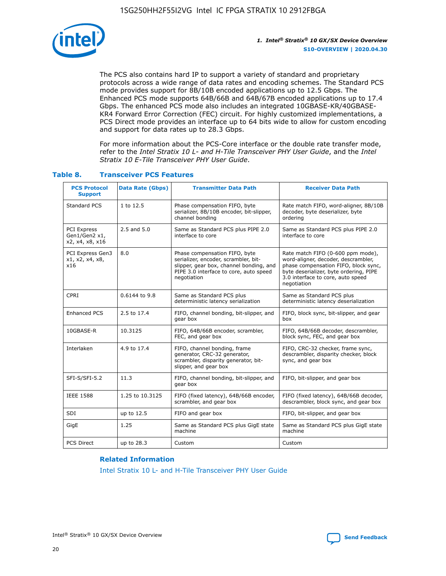

The PCS also contains hard IP to support a variety of standard and proprietary protocols across a wide range of data rates and encoding schemes. The Standard PCS mode provides support for 8B/10B encoded applications up to 12.5 Gbps. The Enhanced PCS mode supports 64B/66B and 64B/67B encoded applications up to 17.4 Gbps. The enhanced PCS mode also includes an integrated 10GBASE-KR/40GBASE-KR4 Forward Error Correction (FEC) circuit. For highly customized implementations, a PCS Direct mode provides an interface up to 64 bits wide to allow for custom encoding and support for data rates up to 28.3 Gbps.

For more information about the PCS-Core interface or the double rate transfer mode, refer to the *Intel Stratix 10 L- and H-Tile Transceiver PHY User Guide*, and the *Intel Stratix 10 E-Tile Transceiver PHY User Guide*.

| <b>PCS Protocol</b><br><b>Support</b>           | <b>Data Rate (Gbps)</b> | <b>Transmitter Data Path</b>                                                                                                                                              | <b>Receiver Data Path</b>                                                                                                                                                                                      |
|-------------------------------------------------|-------------------------|---------------------------------------------------------------------------------------------------------------------------------------------------------------------------|----------------------------------------------------------------------------------------------------------------------------------------------------------------------------------------------------------------|
| Standard PCS                                    | 1 to 12.5               | Phase compensation FIFO, byte<br>serializer, 8B/10B encoder, bit-slipper,<br>channel bonding                                                                              | Rate match FIFO, word-aligner, 8B/10B<br>decoder, byte deserializer, byte<br>ordering                                                                                                                          |
| PCI Express<br>Gen1/Gen2 x1,<br>x2, x4, x8, x16 | $2.5$ and $5.0$         | Same as Standard PCS plus PIPE 2.0<br>interface to core                                                                                                                   | Same as Standard PCS plus PIPE 2.0<br>interface to core                                                                                                                                                        |
| PCI Express Gen3<br>x1, x2, x4, x8,<br>x16      | 8.0                     | Phase compensation FIFO, byte<br>serializer, encoder, scrambler, bit-<br>slipper, gear box, channel bonding, and<br>PIPE 3.0 interface to core, auto speed<br>negotiation | Rate match FIFO (0-600 ppm mode),<br>word-aligner, decoder, descrambler,<br>phase compensation FIFO, block sync,<br>byte deserializer, byte ordering, PIPE<br>3.0 interface to core, auto speed<br>negotiation |
| CPRI                                            | 0.6144 to 9.8           | Same as Standard PCS plus<br>deterministic latency serialization                                                                                                          | Same as Standard PCS plus<br>deterministic latency deserialization                                                                                                                                             |
| <b>Enhanced PCS</b>                             | 2.5 to 17.4             | FIFO, channel bonding, bit-slipper, and<br>gear box                                                                                                                       | FIFO, block sync, bit-slipper, and gear<br>box                                                                                                                                                                 |
| 10GBASE-R                                       | 10.3125                 | FIFO, 64B/66B encoder, scrambler,<br>FEC, and gear box                                                                                                                    | FIFO, 64B/66B decoder, descrambler,<br>block sync, FEC, and gear box                                                                                                                                           |
| Interlaken                                      | 4.9 to 17.4             | FIFO, channel bonding, frame<br>generator, CRC-32 generator,<br>scrambler, disparity generator, bit-<br>slipper, and gear box                                             | FIFO, CRC-32 checker, frame sync,<br>descrambler, disparity checker, block<br>sync, and gear box                                                                                                               |
| SFI-S/SFI-5.2                                   | 11.3                    | FIFO, channel bonding, bit-slipper, and<br>gear box                                                                                                                       | FIFO, bit-slipper, and gear box                                                                                                                                                                                |
| <b>IEEE 1588</b>                                | 1.25 to 10.3125         | FIFO (fixed latency), 64B/66B encoder,<br>scrambler, and gear box                                                                                                         | FIFO (fixed latency), 64B/66B decoder,<br>descrambler, block sync, and gear box                                                                                                                                |
| SDI                                             | up to 12.5              | FIFO and gear box                                                                                                                                                         | FIFO, bit-slipper, and gear box                                                                                                                                                                                |
| GigE                                            | 1.25                    | Same as Standard PCS plus GigE state<br>machine                                                                                                                           | Same as Standard PCS plus GigE state<br>machine                                                                                                                                                                |
| <b>PCS Direct</b>                               | up to 28.3              | Custom                                                                                                                                                                    | Custom                                                                                                                                                                                                         |

## **Table 8. Transceiver PCS Features**

#### **Related Information**

[Intel Stratix 10 L- and H-Tile Transceiver PHY User Guide](https://www.altera.com/documentation/wry1479165198810.html)

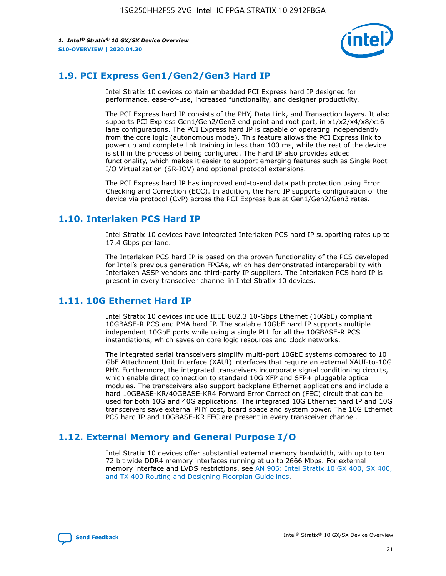

## **1.9. PCI Express Gen1/Gen2/Gen3 Hard IP**

Intel Stratix 10 devices contain embedded PCI Express hard IP designed for performance, ease-of-use, increased functionality, and designer productivity.

The PCI Express hard IP consists of the PHY, Data Link, and Transaction layers. It also supports PCI Express Gen1/Gen2/Gen3 end point and root port, in x1/x2/x4/x8/x16 lane configurations. The PCI Express hard IP is capable of operating independently from the core logic (autonomous mode). This feature allows the PCI Express link to power up and complete link training in less than 100 ms, while the rest of the device is still in the process of being configured. The hard IP also provides added functionality, which makes it easier to support emerging features such as Single Root I/O Virtualization (SR-IOV) and optional protocol extensions.

The PCI Express hard IP has improved end-to-end data path protection using Error Checking and Correction (ECC). In addition, the hard IP supports configuration of the device via protocol (CvP) across the PCI Express bus at Gen1/Gen2/Gen3 rates.

## **1.10. Interlaken PCS Hard IP**

Intel Stratix 10 devices have integrated Interlaken PCS hard IP supporting rates up to 17.4 Gbps per lane.

The Interlaken PCS hard IP is based on the proven functionality of the PCS developed for Intel's previous generation FPGAs, which has demonstrated interoperability with Interlaken ASSP vendors and third-party IP suppliers. The Interlaken PCS hard IP is present in every transceiver channel in Intel Stratix 10 devices.

## **1.11. 10G Ethernet Hard IP**

Intel Stratix 10 devices include IEEE 802.3 10-Gbps Ethernet (10GbE) compliant 10GBASE-R PCS and PMA hard IP. The scalable 10GbE hard IP supports multiple independent 10GbE ports while using a single PLL for all the 10GBASE-R PCS instantiations, which saves on core logic resources and clock networks.

The integrated serial transceivers simplify multi-port 10GbE systems compared to 10 GbE Attachment Unit Interface (XAUI) interfaces that require an external XAUI-to-10G PHY. Furthermore, the integrated transceivers incorporate signal conditioning circuits, which enable direct connection to standard 10G XFP and SFP+ pluggable optical modules. The transceivers also support backplane Ethernet applications and include a hard 10GBASE-KR/40GBASE-KR4 Forward Error Correction (FEC) circuit that can be used for both 10G and 40G applications. The integrated 10G Ethernet hard IP and 10G transceivers save external PHY cost, board space and system power. The 10G Ethernet PCS hard IP and 10GBASE-KR FEC are present in every transceiver channel.

## **1.12. External Memory and General Purpose I/O**

Intel Stratix 10 devices offer substantial external memory bandwidth, with up to ten 72 bit wide DDR4 memory interfaces running at up to 2666 Mbps. For external memory interface and LVDS restrictions, see [AN 906: Intel Stratix 10 GX 400, SX 400,](https://www.intel.com/content/www/us/en/programmable/documentation/sjf1574667190623.html#bft1574667627484) [and TX 400 Routing and Designing Floorplan Guidelines.](https://www.intel.com/content/www/us/en/programmable/documentation/sjf1574667190623.html#bft1574667627484)

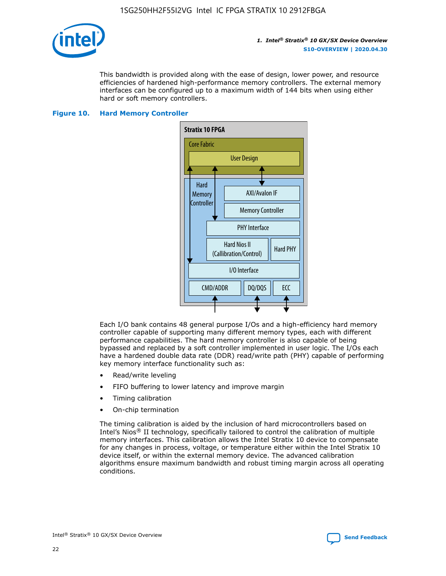

This bandwidth is provided along with the ease of design, lower power, and resource efficiencies of hardened high-performance memory controllers. The external memory interfaces can be configured up to a maximum width of 144 bits when using either hard or soft memory controllers.

### **Figure 10. Hard Memory Controller**



Each I/O bank contains 48 general purpose I/Os and a high-efficiency hard memory controller capable of supporting many different memory types, each with different performance capabilities. The hard memory controller is also capable of being bypassed and replaced by a soft controller implemented in user logic. The I/Os each have a hardened double data rate (DDR) read/write path (PHY) capable of performing key memory interface functionality such as:

- Read/write leveling
- FIFO buffering to lower latency and improve margin
- Timing calibration
- On-chip termination

The timing calibration is aided by the inclusion of hard microcontrollers based on Intel's Nios® II technology, specifically tailored to control the calibration of multiple memory interfaces. This calibration allows the Intel Stratix 10 device to compensate for any changes in process, voltage, or temperature either within the Intel Stratix 10 device itself, or within the external memory device. The advanced calibration algorithms ensure maximum bandwidth and robust timing margin across all operating conditions.

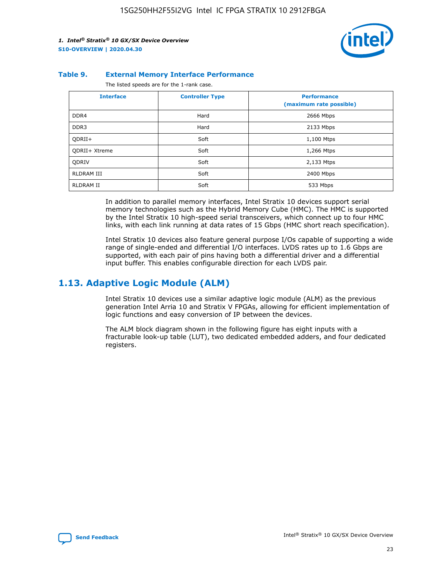

#### **Table 9. External Memory Interface Performance**

The listed speeds are for the 1-rank case.

| <b>Interface</b>     | <b>Controller Type</b> | <b>Performance</b><br>(maximum rate possible) |
|----------------------|------------------------|-----------------------------------------------|
| DDR4                 | Hard                   | 2666 Mbps                                     |
| DDR <sub>3</sub>     | Hard                   | 2133 Mbps                                     |
| QDRII+               | Soft                   | 1,100 Mtps                                    |
| <b>ODRII+ Xtreme</b> | Soft                   | 1,266 Mtps                                    |
| <b>ODRIV</b>         | Soft                   | 2,133 Mtps                                    |
| RLDRAM III           | Soft                   | 2400 Mbps                                     |
| <b>RLDRAM II</b>     | Soft                   | 533 Mbps                                      |

In addition to parallel memory interfaces, Intel Stratix 10 devices support serial memory technologies such as the Hybrid Memory Cube (HMC). The HMC is supported by the Intel Stratix 10 high-speed serial transceivers, which connect up to four HMC links, with each link running at data rates of 15 Gbps (HMC short reach specification).

Intel Stratix 10 devices also feature general purpose I/Os capable of supporting a wide range of single-ended and differential I/O interfaces. LVDS rates up to 1.6 Gbps are supported, with each pair of pins having both a differential driver and a differential input buffer. This enables configurable direction for each LVDS pair.

## **1.13. Adaptive Logic Module (ALM)**

Intel Stratix 10 devices use a similar adaptive logic module (ALM) as the previous generation Intel Arria 10 and Stratix V FPGAs, allowing for efficient implementation of logic functions and easy conversion of IP between the devices.

The ALM block diagram shown in the following figure has eight inputs with a fracturable look-up table (LUT), two dedicated embedded adders, and four dedicated registers.

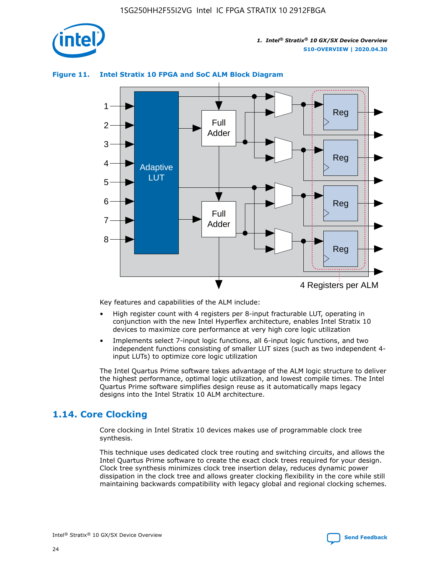

## **Figure 11. Intel Stratix 10 FPGA and SoC ALM Block Diagram**



Key features and capabilities of the ALM include:

- High register count with 4 registers per 8-input fracturable LUT, operating in conjunction with the new Intel Hyperflex architecture, enables Intel Stratix 10 devices to maximize core performance at very high core logic utilization
- Implements select 7-input logic functions, all 6-input logic functions, and two independent functions consisting of smaller LUT sizes (such as two independent 4 input LUTs) to optimize core logic utilization

The Intel Quartus Prime software takes advantage of the ALM logic structure to deliver the highest performance, optimal logic utilization, and lowest compile times. The Intel Quartus Prime software simplifies design reuse as it automatically maps legacy designs into the Intel Stratix 10 ALM architecture.

## **1.14. Core Clocking**

Core clocking in Intel Stratix 10 devices makes use of programmable clock tree synthesis.

This technique uses dedicated clock tree routing and switching circuits, and allows the Intel Quartus Prime software to create the exact clock trees required for your design. Clock tree synthesis minimizes clock tree insertion delay, reduces dynamic power dissipation in the clock tree and allows greater clocking flexibility in the core while still maintaining backwards compatibility with legacy global and regional clocking schemes.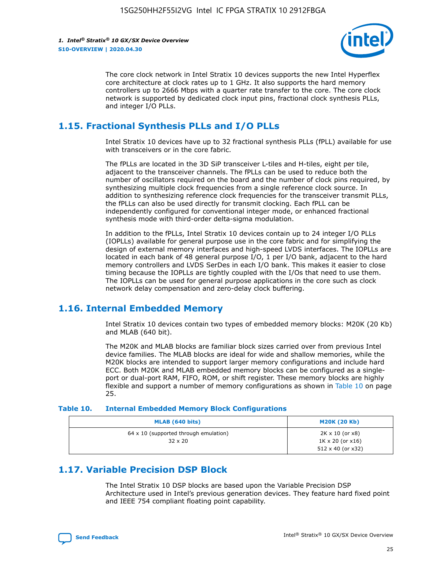

The core clock network in Intel Stratix 10 devices supports the new Intel Hyperflex core architecture at clock rates up to 1 GHz. It also supports the hard memory controllers up to 2666 Mbps with a quarter rate transfer to the core. The core clock network is supported by dedicated clock input pins, fractional clock synthesis PLLs, and integer I/O PLLs.

## **1.15. Fractional Synthesis PLLs and I/O PLLs**

Intel Stratix 10 devices have up to 32 fractional synthesis PLLs (fPLL) available for use with transceivers or in the core fabric.

The fPLLs are located in the 3D SiP transceiver L-tiles and H-tiles, eight per tile, adjacent to the transceiver channels. The fPLLs can be used to reduce both the number of oscillators required on the board and the number of clock pins required, by synthesizing multiple clock frequencies from a single reference clock source. In addition to synthesizing reference clock frequencies for the transceiver transmit PLLs, the fPLLs can also be used directly for transmit clocking. Each fPLL can be independently configured for conventional integer mode, or enhanced fractional synthesis mode with third-order delta-sigma modulation.

In addition to the fPLLs, Intel Stratix 10 devices contain up to 24 integer I/O PLLs (IOPLLs) available for general purpose use in the core fabric and for simplifying the design of external memory interfaces and high-speed LVDS interfaces. The IOPLLs are located in each bank of 48 general purpose I/O, 1 per I/O bank, adjacent to the hard memory controllers and LVDS SerDes in each I/O bank. This makes it easier to close timing because the IOPLLs are tightly coupled with the I/Os that need to use them. The IOPLLs can be used for general purpose applications in the core such as clock network delay compensation and zero-delay clock buffering.

## **1.16. Internal Embedded Memory**

Intel Stratix 10 devices contain two types of embedded memory blocks: M20K (20 Kb) and MLAB (640 bit).

The M20K and MLAB blocks are familiar block sizes carried over from previous Intel device families. The MLAB blocks are ideal for wide and shallow memories, while the M20K blocks are intended to support larger memory configurations and include hard ECC. Both M20K and MLAB embedded memory blocks can be configured as a singleport or dual-port RAM, FIFO, ROM, or shift register. These memory blocks are highly flexible and support a number of memory configurations as shown in Table 10 on page 25.

#### **Table 10. Internal Embedded Memory Block Configurations**

| MLAB (640 bits)                                                | <b>M20K (20 Kb)</b>                                                                    |
|----------------------------------------------------------------|----------------------------------------------------------------------------------------|
| $64 \times 10$ (supported through emulation)<br>$32 \times 20$ | $2K \times 10$ (or $x8$ )<br>$1K \times 20$ (or $x16$ )<br>$512 \times 40$ (or $x32$ ) |

## **1.17. Variable Precision DSP Block**

The Intel Stratix 10 DSP blocks are based upon the Variable Precision DSP Architecture used in Intel's previous generation devices. They feature hard fixed point and IEEE 754 compliant floating point capability.

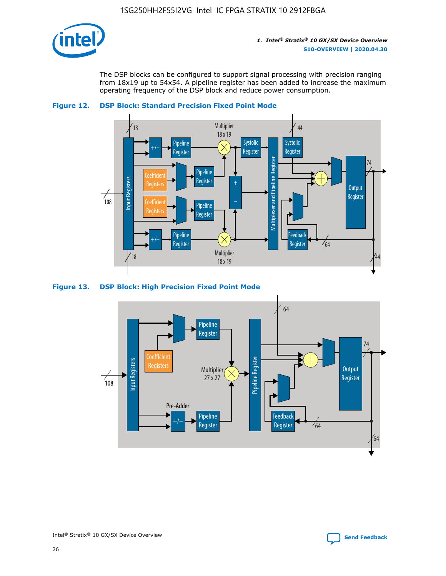

The DSP blocks can be configured to support signal processing with precision ranging from 18x19 up to 54x54. A pipeline register has been added to increase the maximum operating frequency of the DSP block and reduce power consumption.





#### **Figure 13. DSP Block: High Precision Fixed Point Mode**

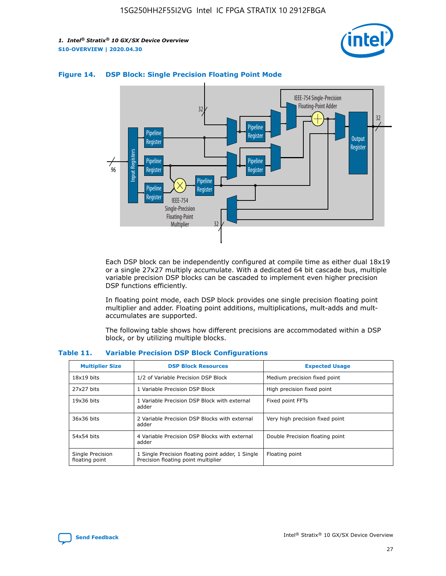



## **Figure 14. DSP Block: Single Precision Floating Point Mode**

Each DSP block can be independently configured at compile time as either dual 18x19 or a single 27x27 multiply accumulate. With a dedicated 64 bit cascade bus, multiple variable precision DSP blocks can be cascaded to implement even higher precision DSP functions efficiently.

In floating point mode, each DSP block provides one single precision floating point multiplier and adder. Floating point additions, multiplications, mult-adds and multaccumulates are supported.

The following table shows how different precisions are accommodated within a DSP block, or by utilizing multiple blocks.

| <b>Multiplier Size</b>             | <b>DSP Block Resources</b>                                                               | <b>Expected Usage</b>           |
|------------------------------------|------------------------------------------------------------------------------------------|---------------------------------|
| $18x19$ bits                       | 1/2 of Variable Precision DSP Block                                                      | Medium precision fixed point    |
| 27x27 bits                         | 1 Variable Precision DSP Block                                                           | High precision fixed point      |
| $19x36$ bits                       | 1 Variable Precision DSP Block with external<br>adder                                    | Fixed point FFTs                |
| 36x36 bits                         | 2 Variable Precision DSP Blocks with external<br>adder                                   | Very high precision fixed point |
| 54x54 bits                         | 4 Variable Precision DSP Blocks with external<br>adder                                   | Double Precision floating point |
| Single Precision<br>floating point | 1 Single Precision floating point adder, 1 Single<br>Precision floating point multiplier | Floating point                  |

#### **Table 11. Variable Precision DSP Block Configurations**

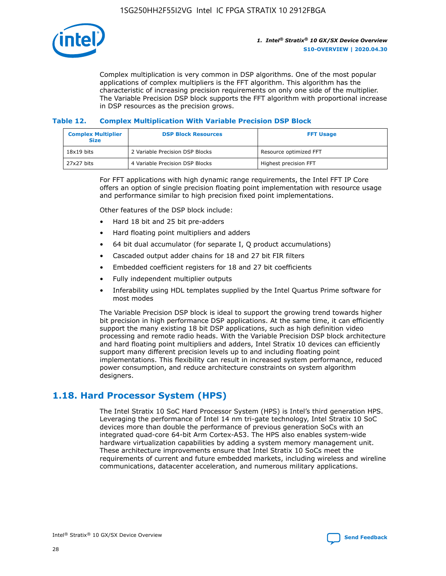

Complex multiplication is very common in DSP algorithms. One of the most popular applications of complex multipliers is the FFT algorithm. This algorithm has the characteristic of increasing precision requirements on only one side of the multiplier. The Variable Precision DSP block supports the FFT algorithm with proportional increase in DSP resources as the precision grows.

### **Table 12. Complex Multiplication With Variable Precision DSP Block**

| <b>Complex Multiplier</b><br><b>Size</b> | <b>DSP Block Resources</b>      | <b>FFT Usage</b>       |
|------------------------------------------|---------------------------------|------------------------|
| $18x19$ bits                             | 2 Variable Precision DSP Blocks | Resource optimized FFT |
| 27x27 bits                               | 4 Variable Precision DSP Blocks | Highest precision FFT  |

For FFT applications with high dynamic range requirements, the Intel FFT IP Core offers an option of single precision floating point implementation with resource usage and performance similar to high precision fixed point implementations.

Other features of the DSP block include:

- Hard 18 bit and 25 bit pre-adders
- Hard floating point multipliers and adders
- 64 bit dual accumulator (for separate I, Q product accumulations)
- Cascaded output adder chains for 18 and 27 bit FIR filters
- Embedded coefficient registers for 18 and 27 bit coefficients
- Fully independent multiplier outputs
- Inferability using HDL templates supplied by the Intel Quartus Prime software for most modes

The Variable Precision DSP block is ideal to support the growing trend towards higher bit precision in high performance DSP applications. At the same time, it can efficiently support the many existing 18 bit DSP applications, such as high definition video processing and remote radio heads. With the Variable Precision DSP block architecture and hard floating point multipliers and adders, Intel Stratix 10 devices can efficiently support many different precision levels up to and including floating point implementations. This flexibility can result in increased system performance, reduced power consumption, and reduce architecture constraints on system algorithm designers.

## **1.18. Hard Processor System (HPS)**

The Intel Stratix 10 SoC Hard Processor System (HPS) is Intel's third generation HPS. Leveraging the performance of Intel 14 nm tri-gate technology, Intel Stratix 10 SoC devices more than double the performance of previous generation SoCs with an integrated quad-core 64-bit Arm Cortex-A53. The HPS also enables system-wide hardware virtualization capabilities by adding a system memory management unit. These architecture improvements ensure that Intel Stratix 10 SoCs meet the requirements of current and future embedded markets, including wireless and wireline communications, datacenter acceleration, and numerous military applications.

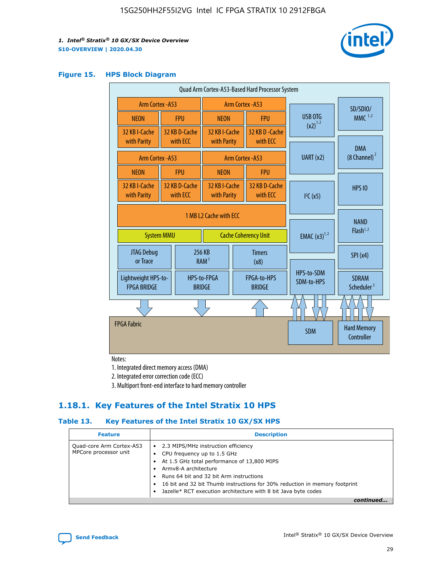

#### **Figure 15. HPS Block Diagram**

|  | Quad Arm Cortex-A53-Based Hard Processor System                            |                  |                           |                                           |                                     |                              |                          |                                        |          |
|--|----------------------------------------------------------------------------|------------------|---------------------------|-------------------------------------------|-------------------------------------|------------------------------|--------------------------|----------------------------------------|----------|
|  | <b>Arm Cortex - A53</b>                                                    |                  |                           | Arm Cortex - A53                          |                                     |                              |                          |                                        | SD/SDIO/ |
|  | <b>NEON</b>                                                                |                  | <b>FPU</b>                | <b>NEON</b>                               |                                     | <b>FPU</b>                   | USB OTG                  | $MMC$ <sup>1,2</sup>                   |          |
|  | 32 KB I-Cache<br>with Parity                                               |                  | 32 KB D-Cache<br>with ECC | 32 KB I-Cache<br>with Parity              |                                     | 32 KB D - Cache<br>with ECC  | $(x2)^{1,2}$             |                                        |          |
|  |                                                                            | Arm Cortex - A53 |                           |                                           |                                     | Arm Cortex - A53             | UART (x2)                | <b>DMA</b><br>$(8 \text{ Channel})^2$  |          |
|  | <b>NEON</b>                                                                |                  | <b>FPU</b>                | <b>NEON</b>                               |                                     | <b>FPU</b>                   |                          |                                        |          |
|  | 32 KB I-Cache<br>with Parity                                               |                  | 32 KB D-Cache<br>with ECC | 32 KB I-Cache<br>with Parity              |                                     | 32 KB D-Cache<br>with ECC    | I <sup>2</sup> C(x5)     | <b>HPS 10</b>                          |          |
|  | 1 MB L2 Cache with ECC<br><b>Cache Coherency Unit</b><br><b>System MMU</b> |                  |                           | <b>EMAC</b> $(x3)^{1,2}$                  | <b>NAND</b><br>Flash <sup>1,2</sup> |                              |                          |                                        |          |
|  | JTAG Debug<br>or Trace                                                     |                  | 256 KB                    | <b>Timers</b><br>RAM <sup>2</sup><br>(x8) |                                     |                              |                          | SPI(x4)                                |          |
|  | Lightweight HPS-to-<br><b>FPGA BRIDGE</b>                                  |                  |                           | HPS-to-FPGA<br><b>BRIDGE</b>              |                                     | FPGA-to-HPS<br><b>BRIDGE</b> | HPS-to-SDM<br>SDM-to-HPS | <b>SDRAM</b><br>Scheduler <sup>3</sup> |          |
|  |                                                                            |                  |                           |                                           |                                     |                              |                          |                                        |          |
|  | <b>FPGA Fabric</b>                                                         |                  |                           |                                           |                                     |                              | <b>SDM</b>               | <b>Hard Memory</b><br>Controller       |          |

Notes:

1. Integrated direct memory access (DMA)

2. Integrated error correction code (ECC)

3. Multiport front-end interface to hard memory controller

## **1.18.1. Key Features of the Intel Stratix 10 HPS**

## **Table 13. Key Features of the Intel Stratix 10 GX/SX HPS**

| <b>Feature</b>                                    | <b>Description</b>                                                                                                                                                                                                                                                                                                                          |
|---------------------------------------------------|---------------------------------------------------------------------------------------------------------------------------------------------------------------------------------------------------------------------------------------------------------------------------------------------------------------------------------------------|
| Quad-core Arm Cortex-A53<br>MPCore processor unit | • 2.3 MIPS/MHz instruction efficiency<br>CPU frequency up to 1.5 GHz<br>٠<br>At 1.5 GHz total performance of 13,800 MIPS<br>Army8-A architecture<br>Runs 64 bit and 32 bit Arm instructions<br>16 bit and 32 bit Thumb instructions for 30% reduction in memory footprint<br>Jazelle* RCT execution architecture with 8 bit Java byte codes |
|                                                   |                                                                                                                                                                                                                                                                                                                                             |

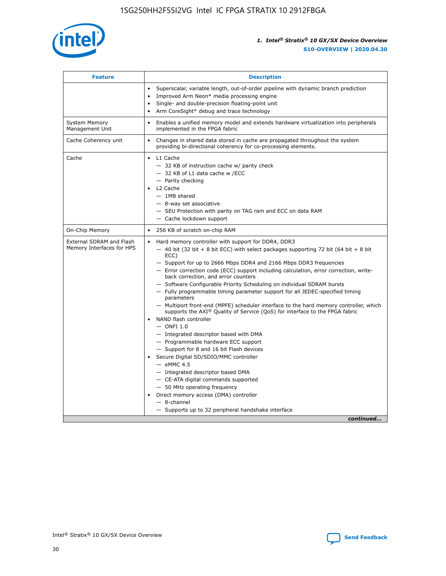

| <b>Feature</b>                                        | <b>Description</b>                                                                                                                                                                                                                                                                                                                                                                                                                                                                                                                                                                                                                                                                                                                                                                                                                                                                                                                                                                                                                                                                                                                                                                                                     |
|-------------------------------------------------------|------------------------------------------------------------------------------------------------------------------------------------------------------------------------------------------------------------------------------------------------------------------------------------------------------------------------------------------------------------------------------------------------------------------------------------------------------------------------------------------------------------------------------------------------------------------------------------------------------------------------------------------------------------------------------------------------------------------------------------------------------------------------------------------------------------------------------------------------------------------------------------------------------------------------------------------------------------------------------------------------------------------------------------------------------------------------------------------------------------------------------------------------------------------------------------------------------------------------|
|                                                       | Superscalar, variable length, out-of-order pipeline with dynamic branch prediction<br>Improved Arm Neon* media processing engine<br>$\bullet$<br>Single- and double-precision floating-point unit<br>Arm CoreSight* debug and trace technology<br>$\bullet$                                                                                                                                                                                                                                                                                                                                                                                                                                                                                                                                                                                                                                                                                                                                                                                                                                                                                                                                                            |
| <b>System Memory</b><br>Management Unit               | Enables a unified memory model and extends hardware virtualization into peripherals<br>$\bullet$<br>implemented in the FPGA fabric                                                                                                                                                                                                                                                                                                                                                                                                                                                                                                                                                                                                                                                                                                                                                                                                                                                                                                                                                                                                                                                                                     |
| Cache Coherency unit                                  | $\bullet$<br>Changes in shared data stored in cache are propagated throughout the system<br>providing bi-directional coherency for co-processing elements.                                                                                                                                                                                                                                                                                                                                                                                                                                                                                                                                                                                                                                                                                                                                                                                                                                                                                                                                                                                                                                                             |
| Cache                                                 | L1 Cache<br>$\bullet$<br>- 32 KB of instruction cache w/ parity check<br>- 32 KB of L1 data cache w /ECC<br>- Parity checking<br>L2 Cache<br>$-$ 1MB shared<br>- 8-way set associative<br>- SEU Protection with parity on TAG ram and ECC on data RAM<br>- Cache lockdown support                                                                                                                                                                                                                                                                                                                                                                                                                                                                                                                                                                                                                                                                                                                                                                                                                                                                                                                                      |
| On-Chip Memory                                        | 256 KB of scratch on-chip RAM<br>$\bullet$                                                                                                                                                                                                                                                                                                                                                                                                                                                                                                                                                                                                                                                                                                                                                                                                                                                                                                                                                                                                                                                                                                                                                                             |
| External SDRAM and Flash<br>Memory Interfaces for HPS | Hard memory controller with support for DDR4, DDR3<br>$\bullet$<br>$-$ 40 bit (32 bit + 8 bit ECC) with select packages supporting 72 bit (64 bit + 8 bit<br>ECC)<br>- Support for up to 2666 Mbps DDR4 and 2166 Mbps DDR3 frequencies<br>- Error correction code (ECC) support including calculation, error correction, write-<br>back correction, and error counters<br>- Software Configurable Priority Scheduling on individual SDRAM bursts<br>- Fully programmable timing parameter support for all JEDEC-specified timing<br>parameters<br>- Multiport front-end (MPFE) scheduler interface to the hard memory controller, which<br>supports the $AXI^{\circledR}$ Quality of Service (QoS) for interface to the FPGA fabric<br>NAND flash controller<br>$-$ ONFI 1.0<br>- Integrated descriptor based with DMA<br>- Programmable hardware ECC support<br>- Support for 8 and 16 bit Flash devices<br>Secure Digital SD/SDIO/MMC controller<br>$-$ eMMC 4.5<br>- Integrated descriptor based DMA<br>- CE-ATA digital commands supported<br>- 50 MHz operating frequency<br>Direct memory access (DMA) controller<br>$\bullet$<br>- 8-channel<br>- Supports up to 32 peripheral handshake interface<br>continued |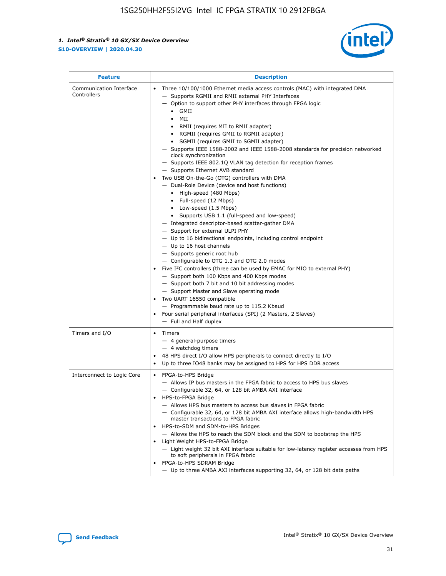

| <b>Feature</b>                         | <b>Description</b>                                                                                                                                                                                                                                                                                                                                                                                                                                                                                                                                                                                                                                                                                                                                                                                                                                                                                                                                                                                                                                                                                                                                                                                                                                                                                                                                                                                                                                                                                                  |
|----------------------------------------|---------------------------------------------------------------------------------------------------------------------------------------------------------------------------------------------------------------------------------------------------------------------------------------------------------------------------------------------------------------------------------------------------------------------------------------------------------------------------------------------------------------------------------------------------------------------------------------------------------------------------------------------------------------------------------------------------------------------------------------------------------------------------------------------------------------------------------------------------------------------------------------------------------------------------------------------------------------------------------------------------------------------------------------------------------------------------------------------------------------------------------------------------------------------------------------------------------------------------------------------------------------------------------------------------------------------------------------------------------------------------------------------------------------------------------------------------------------------------------------------------------------------|
| Communication Interface<br>Controllers | Three 10/100/1000 Ethernet media access controls (MAC) with integrated DMA<br>$\bullet$<br>- Supports RGMII and RMII external PHY Interfaces<br>- Option to support other PHY interfaces through FPGA logic<br>GMII<br>$\bullet$<br>MII<br>$\bullet$<br>• RMII (requires MII to RMII adapter)<br>• RGMII (requires GMII to RGMII adapter)<br>• SGMII (requires GMII to SGMII adapter)<br>- Supports IEEE 1588-2002 and IEEE 1588-2008 standards for precision networked<br>clock synchronization<br>- Supports IEEE 802.1Q VLAN tag detection for reception frames<br>- Supports Ethernet AVB standard<br>Two USB On-the-Go (OTG) controllers with DMA<br>- Dual-Role Device (device and host functions)<br>• High-speed (480 Mbps)<br>• Full-speed (12 Mbps)<br>• Low-speed (1.5 Mbps)<br>• Supports USB 1.1 (full-speed and low-speed)<br>- Integrated descriptor-based scatter-gather DMA<br>- Support for external ULPI PHY<br>- Up to 16 bidirectional endpoints, including control endpoint<br>$-$ Up to 16 host channels<br>- Supports generic root hub<br>- Configurable to OTG 1.3 and OTG 2.0 modes<br>Five $I^2C$ controllers (three can be used by EMAC for MIO to external PHY)<br>- Support both 100 Kbps and 400 Kbps modes<br>- Support both 7 bit and 10 bit addressing modes<br>- Support Master and Slave operating mode<br>Two UART 16550 compatible<br>- Programmable baud rate up to 115.2 Kbaud<br>• Four serial peripheral interfaces (SPI) (2 Masters, 2 Slaves)<br>- Full and Half duplex |
| Timers and I/O                         | $\bullet$ Timers<br>- 4 general-purpose timers<br>$-4$ watchdog timers<br>48 HPS direct I/O allow HPS peripherals to connect directly to I/O<br>Up to three IO48 banks may be assigned to HPS for HPS DDR access                                                                                                                                                                                                                                                                                                                                                                                                                                                                                                                                                                                                                                                                                                                                                                                                                                                                                                                                                                                                                                                                                                                                                                                                                                                                                                    |
| Interconnect to Logic Core             | • FPGA-to-HPS Bridge<br>- Allows IP bus masters in the FPGA fabric to access to HPS bus slaves<br>- Configurable 32, 64, or 128 bit AMBA AXI interface<br>HPS-to-FPGA Bridge<br>- Allows HPS bus masters to access bus slaves in FPGA fabric<br>- Configurable 32, 64, or 128 bit AMBA AXI interface allows high-bandwidth HPS<br>master transactions to FPGA fabric<br>HPS-to-SDM and SDM-to-HPS Bridges<br>- Allows the HPS to reach the SDM block and the SDM to bootstrap the HPS<br>Light Weight HPS-to-FPGA Bridge<br>- Light weight 32 bit AXI interface suitable for low-latency register accesses from HPS<br>to soft peripherals in FPGA fabric<br>FPGA-to-HPS SDRAM Bridge<br>- Up to three AMBA AXI interfaces supporting 32, 64, or 128 bit data paths                                                                                                                                                                                                                                                                                                                                                                                                                                                                                                                                                                                                                                                                                                                                                 |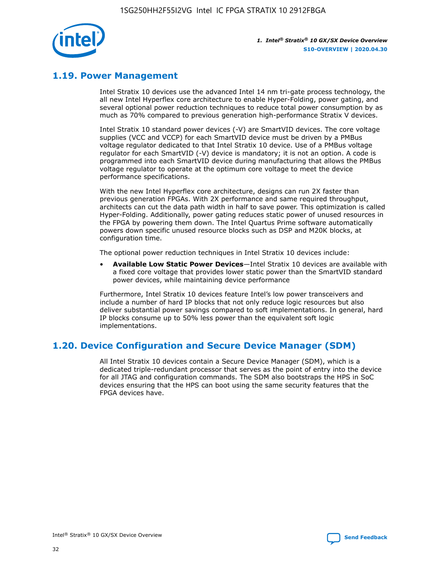

## **1.19. Power Management**

Intel Stratix 10 devices use the advanced Intel 14 nm tri-gate process technology, the all new Intel Hyperflex core architecture to enable Hyper-Folding, power gating, and several optional power reduction techniques to reduce total power consumption by as much as 70% compared to previous generation high-performance Stratix V devices.

Intel Stratix 10 standard power devices (-V) are SmartVID devices. The core voltage supplies (VCC and VCCP) for each SmartVID device must be driven by a PMBus voltage regulator dedicated to that Intel Stratix 10 device. Use of a PMBus voltage regulator for each SmartVID (-V) device is mandatory; it is not an option. A code is programmed into each SmartVID device during manufacturing that allows the PMBus voltage regulator to operate at the optimum core voltage to meet the device performance specifications.

With the new Intel Hyperflex core architecture, designs can run 2X faster than previous generation FPGAs. With 2X performance and same required throughput, architects can cut the data path width in half to save power. This optimization is called Hyper-Folding. Additionally, power gating reduces static power of unused resources in the FPGA by powering them down. The Intel Quartus Prime software automatically powers down specific unused resource blocks such as DSP and M20K blocks, at configuration time.

The optional power reduction techniques in Intel Stratix 10 devices include:

• **Available Low Static Power Devices**—Intel Stratix 10 devices are available with a fixed core voltage that provides lower static power than the SmartVID standard power devices, while maintaining device performance

Furthermore, Intel Stratix 10 devices feature Intel's low power transceivers and include a number of hard IP blocks that not only reduce logic resources but also deliver substantial power savings compared to soft implementations. In general, hard IP blocks consume up to 50% less power than the equivalent soft logic implementations.

## **1.20. Device Configuration and Secure Device Manager (SDM)**

All Intel Stratix 10 devices contain a Secure Device Manager (SDM), which is a dedicated triple-redundant processor that serves as the point of entry into the device for all JTAG and configuration commands. The SDM also bootstraps the HPS in SoC devices ensuring that the HPS can boot using the same security features that the FPGA devices have.

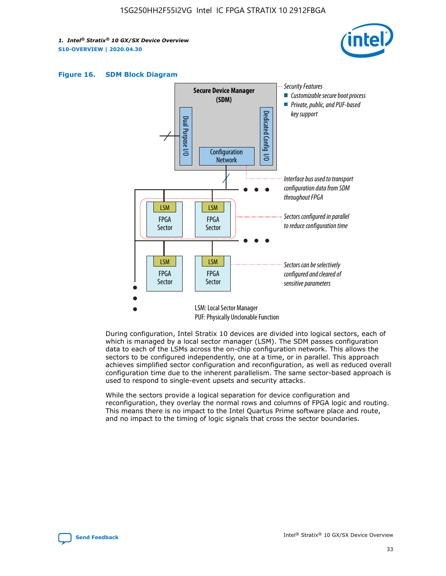





During configuration, Intel Stratix 10 devices are divided into logical sectors, each of which is managed by a local sector manager (LSM). The SDM passes configuration data to each of the LSMs across the on-chip configuration network. This allows the sectors to be configured independently, one at a time, or in parallel. This approach achieves simplified sector configuration and reconfiguration, as well as reduced overall configuration time due to the inherent parallelism. The same sector-based approach is used to respond to single-event upsets and security attacks.

While the sectors provide a logical separation for device configuration and reconfiguration, they overlay the normal rows and columns of FPGA logic and routing. This means there is no impact to the Intel Quartus Prime software place and route, and no impact to the timing of logic signals that cross the sector boundaries.

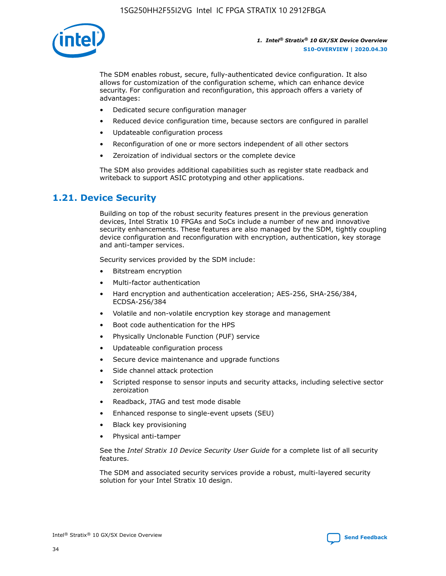

The SDM enables robust, secure, fully-authenticated device configuration. It also allows for customization of the configuration scheme, which can enhance device security. For configuration and reconfiguration, this approach offers a variety of advantages:

- Dedicated secure configuration manager
- Reduced device configuration time, because sectors are configured in parallel
- Updateable configuration process
- Reconfiguration of one or more sectors independent of all other sectors
- Zeroization of individual sectors or the complete device

The SDM also provides additional capabilities such as register state readback and writeback to support ASIC prototyping and other applications.

## **1.21. Device Security**

Building on top of the robust security features present in the previous generation devices, Intel Stratix 10 FPGAs and SoCs include a number of new and innovative security enhancements. These features are also managed by the SDM, tightly coupling device configuration and reconfiguration with encryption, authentication, key storage and anti-tamper services.

Security services provided by the SDM include:

- Bitstream encryption
- Multi-factor authentication
- Hard encryption and authentication acceleration; AES-256, SHA-256/384, ECDSA-256/384
- Volatile and non-volatile encryption key storage and management
- Boot code authentication for the HPS
- Physically Unclonable Function (PUF) service
- Updateable configuration process
- Secure device maintenance and upgrade functions
- Side channel attack protection
- Scripted response to sensor inputs and security attacks, including selective sector zeroization
- Readback, JTAG and test mode disable
- Enhanced response to single-event upsets (SEU)
- Black key provisioning
- Physical anti-tamper

See the *Intel Stratix 10 Device Security User Guide* for a complete list of all security features.

The SDM and associated security services provide a robust, multi-layered security solution for your Intel Stratix 10 design.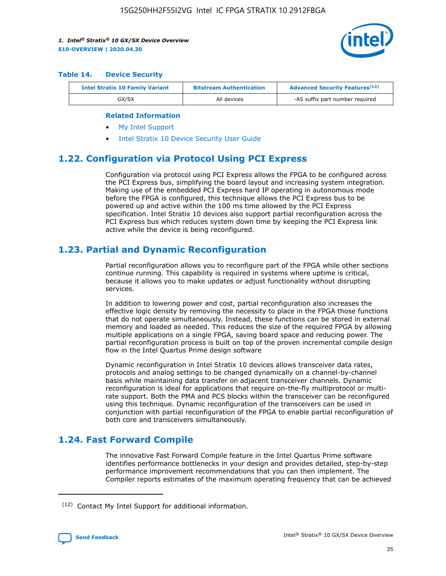

#### **Table 14. Device Security**

| <b>Intel Stratix 10 Family Variant</b> | <b>Bitstream Authentication</b> | <b>Advanced Security Features</b> <sup>(12)</sup> |
|----------------------------------------|---------------------------------|---------------------------------------------------|
| GX/SX                                  | All devices                     | -AS suffix part number required                   |

#### **Related Information**

- [My Intel Support](https://www.intel.com/content/www/us/en/programmable/my-intel/mal-home.html)
- [Intel Stratix 10 Device Security User Guide](https://www.intel.com/content/www/us/en/programmable/documentation/ndq1483601370898.html#wcd1483611014402)

## **1.22. Configuration via Protocol Using PCI Express**

Configuration via protocol using PCI Express allows the FPGA to be configured across the PCI Express bus, simplifying the board layout and increasing system integration. Making use of the embedded PCI Express hard IP operating in autonomous mode before the FPGA is configured, this technique allows the PCI Express bus to be powered up and active within the 100 ms time allowed by the PCI Express specification. Intel Stratix 10 devices also support partial reconfiguration across the PCI Express bus which reduces system down time by keeping the PCI Express link active while the device is being reconfigured.

## **1.23. Partial and Dynamic Reconfiguration**

Partial reconfiguration allows you to reconfigure part of the FPGA while other sections continue running. This capability is required in systems where uptime is critical, because it allows you to make updates or adjust functionality without disrupting services.

In addition to lowering power and cost, partial reconfiguration also increases the effective logic density by removing the necessity to place in the FPGA those functions that do not operate simultaneously. Instead, these functions can be stored in external memory and loaded as needed. This reduces the size of the required FPGA by allowing multiple applications on a single FPGA, saving board space and reducing power. The partial reconfiguration process is built on top of the proven incremental compile design flow in the Intel Quartus Prime design software

Dynamic reconfiguration in Intel Stratix 10 devices allows transceiver data rates, protocols and analog settings to be changed dynamically on a channel-by-channel basis while maintaining data transfer on adjacent transceiver channels. Dynamic reconfiguration is ideal for applications that require on-the-fly multiprotocol or multirate support. Both the PMA and PCS blocks within the transceiver can be reconfigured using this technique. Dynamic reconfiguration of the transceivers can be used in conjunction with partial reconfiguration of the FPGA to enable partial reconfiguration of both core and transceivers simultaneously.

## **1.24. Fast Forward Compile**

The innovative Fast Forward Compile feature in the Intel Quartus Prime software identifies performance bottlenecks in your design and provides detailed, step-by-step performance improvement recommendations that you can then implement. The Compiler reports estimates of the maximum operating frequency that can be achieved

<sup>(12)</sup> Contact My Intel Support for additional information.

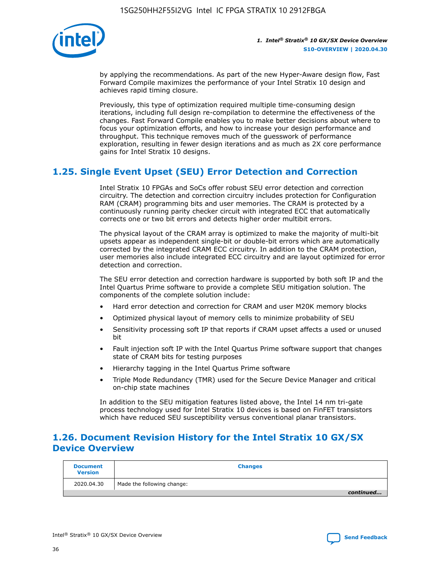

by applying the recommendations. As part of the new Hyper-Aware design flow, Fast Forward Compile maximizes the performance of your Intel Stratix 10 design and achieves rapid timing closure.

Previously, this type of optimization required multiple time-consuming design iterations, including full design re-compilation to determine the effectiveness of the changes. Fast Forward Compile enables you to make better decisions about where to focus your optimization efforts, and how to increase your design performance and throughput. This technique removes much of the guesswork of performance exploration, resulting in fewer design iterations and as much as 2X core performance gains for Intel Stratix 10 designs.

## **1.25. Single Event Upset (SEU) Error Detection and Correction**

Intel Stratix 10 FPGAs and SoCs offer robust SEU error detection and correction circuitry. The detection and correction circuitry includes protection for Configuration RAM (CRAM) programming bits and user memories. The CRAM is protected by a continuously running parity checker circuit with integrated ECC that automatically corrects one or two bit errors and detects higher order multibit errors.

The physical layout of the CRAM array is optimized to make the majority of multi-bit upsets appear as independent single-bit or double-bit errors which are automatically corrected by the integrated CRAM ECC circuitry. In addition to the CRAM protection, user memories also include integrated ECC circuitry and are layout optimized for error detection and correction.

The SEU error detection and correction hardware is supported by both soft IP and the Intel Quartus Prime software to provide a complete SEU mitigation solution. The components of the complete solution include:

- Hard error detection and correction for CRAM and user M20K memory blocks
- Optimized physical layout of memory cells to minimize probability of SEU
- Sensitivity processing soft IP that reports if CRAM upset affects a used or unused bit
- Fault injection soft IP with the Intel Quartus Prime software support that changes state of CRAM bits for testing purposes
- Hierarchy tagging in the Intel Quartus Prime software
- Triple Mode Redundancy (TMR) used for the Secure Device Manager and critical on-chip state machines

In addition to the SEU mitigation features listed above, the Intel 14 nm tri-gate process technology used for Intel Stratix 10 devices is based on FinFET transistors which have reduced SEU susceptibility versus conventional planar transistors.

## **1.26. Document Revision History for the Intel Stratix 10 GX/SX Device Overview**

| <b>Document</b><br><b>Version</b> | <b>Changes</b>             |
|-----------------------------------|----------------------------|
| 2020.04.30                        | Made the following change: |
|                                   | continued                  |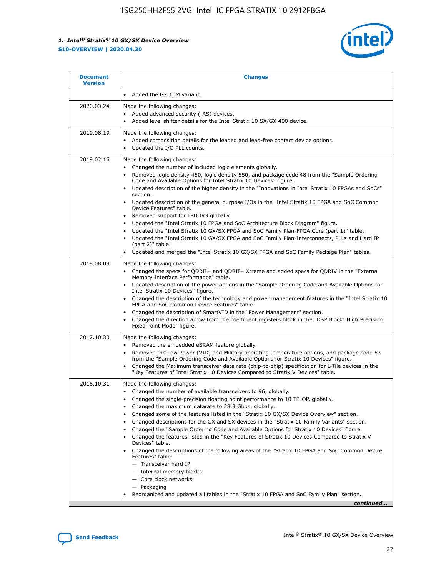

| <b>Document</b><br><b>Version</b> | <b>Changes</b>                                                                                                                                                                                                                                                                                                                                                                                                                                                                                                                                                                                                                                                                                                                                                                                                                                                                                                                                                                                      |
|-----------------------------------|-----------------------------------------------------------------------------------------------------------------------------------------------------------------------------------------------------------------------------------------------------------------------------------------------------------------------------------------------------------------------------------------------------------------------------------------------------------------------------------------------------------------------------------------------------------------------------------------------------------------------------------------------------------------------------------------------------------------------------------------------------------------------------------------------------------------------------------------------------------------------------------------------------------------------------------------------------------------------------------------------------|
|                                   | Added the GX 10M variant.                                                                                                                                                                                                                                                                                                                                                                                                                                                                                                                                                                                                                                                                                                                                                                                                                                                                                                                                                                           |
| 2020.03.24                        | Made the following changes:<br>Added advanced security (-AS) devices.<br>Added level shifter details for the Intel Stratix 10 SX/GX 400 device.                                                                                                                                                                                                                                                                                                                                                                                                                                                                                                                                                                                                                                                                                                                                                                                                                                                     |
| 2019.08.19                        | Made the following changes:<br>Added composition details for the leaded and lead-free contact device options.<br>$\bullet$<br>Updated the I/O PLL counts.                                                                                                                                                                                                                                                                                                                                                                                                                                                                                                                                                                                                                                                                                                                                                                                                                                           |
| 2019.02.15                        | Made the following changes:<br>Changed the number of included logic elements globally.<br>$\bullet$<br>Removed logic density 450, logic density 550, and package code 48 from the "Sample Ordering<br>$\bullet$<br>Code and Available Options for Intel Stratix 10 Devices" figure.<br>Updated description of the higher density in the "Innovations in Intel Stratix 10 FPGAs and SoCs"<br>section.<br>Updated description of the general purpose I/Os in the "Intel Stratix 10 FPGA and SoC Common<br>$\bullet$<br>Device Features" table.<br>Removed support for LPDDR3 globally.<br>Updated the "Intel Stratix 10 FPGA and SoC Architecture Block Diagram" figure.<br>$\bullet$<br>Updated the "Intel Stratix 10 GX/SX FPGA and SoC Family Plan-FPGA Core (part 1)" table.<br>٠<br>Updated the "Intel Stratix 10 GX/SX FPGA and SoC Family Plan-Interconnects, PLLs and Hard IP<br>(part 2)" table.<br>Updated and merged the "Intel Stratix 10 GX/SX FPGA and SoC Family Package Plan" tables. |
| 2018.08.08                        | Made the following changes:<br>Changed the specs for QDRII+ and QDRII+ Xtreme and added specs for QDRIV in the "External<br>$\bullet$<br>Memory Interface Performance" table.<br>Updated description of the power options in the "Sample Ordering Code and Available Options for<br>Intel Stratix 10 Devices" figure.<br>Changed the description of the technology and power management features in the "Intel Stratix 10<br>FPGA and SoC Common Device Features" table.<br>Changed the description of SmartVID in the "Power Management" section.<br>Changed the direction arrow from the coefficient registers block in the "DSP Block: High Precision<br>٠<br>Fixed Point Mode" figure.                                                                                                                                                                                                                                                                                                          |
| 2017.10.30                        | Made the following changes:<br>Removed the embedded eSRAM feature globally.<br>$\bullet$<br>Removed the Low Power (VID) and Military operating temperature options, and package code 53<br>٠<br>from the "Sample Ordering Code and Available Options for Stratix 10 Devices" figure.<br>Changed the Maximum transceiver data rate (chip-to-chip) specification for L-Tile devices in the<br>"Key Features of Intel Stratix 10 Devices Compared to Stratix V Devices" table.                                                                                                                                                                                                                                                                                                                                                                                                                                                                                                                         |
| 2016.10.31                        | Made the following changes:<br>• Changed the number of available transceivers to 96, globally.<br>Changed the single-precision floating point performance to 10 TFLOP, globally.<br>Changed the maximum datarate to 28.3 Gbps, globally.<br>٠<br>Changed some of the features listed in the "Stratix 10 GX/SX Device Overview" section.<br>٠<br>Changed descriptions for the GX and SX devices in the "Stratix 10 Family Variants" section.<br>٠<br>Changed the "Sample Ordering Code and Available Options for Stratix 10 Devices" figure.<br>Changed the features listed in the "Key Features of Stratix 10 Devices Compared to Stratix V<br>Devices" table.<br>Changed the descriptions of the following areas of the "Stratix 10 FPGA and SoC Common Device<br>Features" table:<br>- Transceiver hard IP<br>- Internal memory blocks<br>- Core clock networks<br>- Packaging<br>Reorganized and updated all tables in the "Stratix 10 FPGA and SoC Family Plan" section.                        |
|                                   | continued                                                                                                                                                                                                                                                                                                                                                                                                                                                                                                                                                                                                                                                                                                                                                                                                                                                                                                                                                                                           |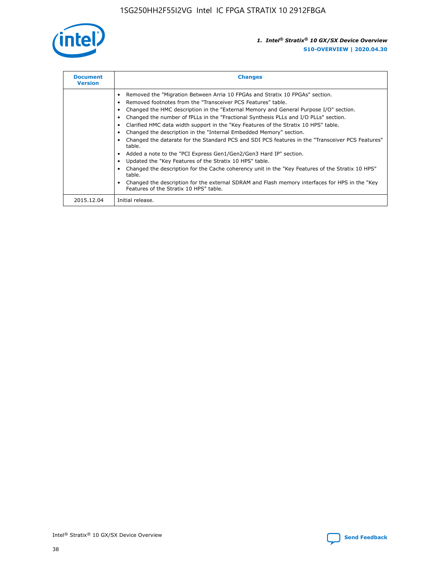

| <b>Document</b><br><b>Version</b> | <b>Changes</b>                                                                                                                                                                                                                                                                                                                                                                                                                                                                                                                                                                                                                                                                                                                                                                                                                                                                                                                                                                                     |
|-----------------------------------|----------------------------------------------------------------------------------------------------------------------------------------------------------------------------------------------------------------------------------------------------------------------------------------------------------------------------------------------------------------------------------------------------------------------------------------------------------------------------------------------------------------------------------------------------------------------------------------------------------------------------------------------------------------------------------------------------------------------------------------------------------------------------------------------------------------------------------------------------------------------------------------------------------------------------------------------------------------------------------------------------|
|                                   | Removed the "Migration Between Arria 10 FPGAs and Stratix 10 FPGAs" section.<br>Removed footnotes from the "Transceiver PCS Features" table.<br>Changed the HMC description in the "External Memory and General Purpose I/O" section.<br>Changed the number of fPLLs in the "Fractional Synthesis PLLs and I/O PLLs" section.<br>Clarified HMC data width support in the "Key Features of the Stratix 10 HPS" table.<br>Changed the description in the "Internal Embedded Memory" section.<br>Changed the datarate for the Standard PCS and SDI PCS features in the "Transceiver PCS Features"<br>table.<br>Added a note to the "PCI Express Gen1/Gen2/Gen3 Hard IP" section.<br>Updated the "Key Features of the Stratix 10 HPS" table.<br>Changed the description for the Cache coherency unit in the "Key Features of the Stratix 10 HPS"<br>table.<br>Changed the description for the external SDRAM and Flash memory interfaces for HPS in the "Key<br>Features of the Stratix 10 HPS" table. |
| 2015.12.04                        | Initial release.                                                                                                                                                                                                                                                                                                                                                                                                                                                                                                                                                                                                                                                                                                                                                                                                                                                                                                                                                                                   |